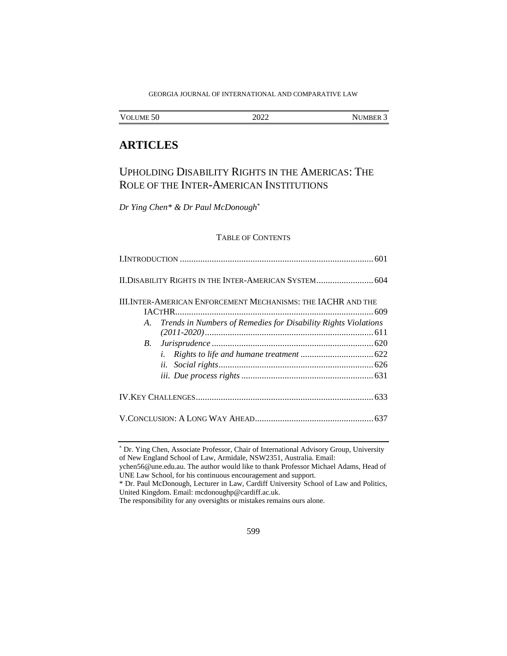#### GEORGIA JOURNAL OF INTERNATIONAL AND COMPARATIVE LAW

| VOLUME <sub>50</sub><br>2022<br>NUMBER |  |
|----------------------------------------|--|
|----------------------------------------|--|

## **ARTICLES**

# UPHOLDING DISABILITY RIGHTS IN THE AMERICAS: THE ROLE OF THE INTER-AMERICAN INSTITUTIONS

*Dr Ying Chen\* & Dr Paul McDonough*\*

## TABLE OF CONTENTS

|            | II. DISABILITY RIGHTS IN THE INTER-AMERICAN SYSTEM 604               |
|------------|----------------------------------------------------------------------|
|            | <b>III. INTER-AMERICAN ENFORCEMENT MECHANISMS: THE IACHR AND THE</b> |
|            |                                                                      |
| A.         | Trends in Numbers of Remedies for Disability Rights Violations       |
|            |                                                                      |
| <i>B</i> . |                                                                      |
|            | i.                                                                   |
|            |                                                                      |
|            |                                                                      |
|            |                                                                      |
|            |                                                                      |

<sup>\*</sup> Dr. Ying Chen, Associate Professor, Chair of International Advisory Group, University of New England School of Law, Armidale, NSW2351, Australia. Email:

ychen56@une.edu.au. The author would like to thank Professor Michael Adams, Head of UNE Law School, for his continuous encouragement and support.

<sup>\*</sup> Dr. Paul McDonough, Lecturer in Law, Cardiff University School of Law and Politics, United Kingdom. Email: mcdonoughp@cardiff.ac.uk.

The responsibility for any oversights or mistakes remains ours alone.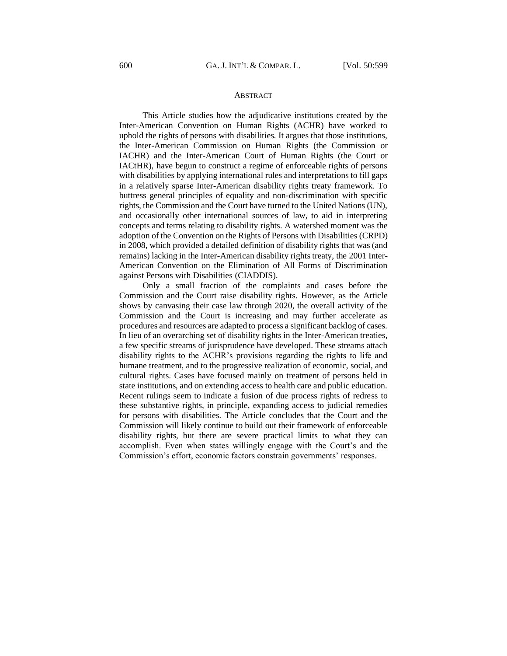#### ABSTRACT

This Article studies how the adjudicative institutions created by the Inter-American Convention on Human Rights (ACHR) have worked to uphold the rights of persons with disabilities. It argues that those institutions, the Inter-American Commission on Human Rights (the Commission or IACHR) and the Inter-American Court of Human Rights (the Court or IACtHR), have begun to construct a regime of enforceable rights of persons with disabilities by applying international rules and interpretations to fill gaps in a relatively sparse Inter-American disability rights treaty framework. To buttress general principles of equality and non-discrimination with specific rights, the Commission and the Court have turned to the United Nations (UN), and occasionally other international sources of law, to aid in interpreting concepts and terms relating to disability rights. A watershed moment was the adoption of the Convention on the Rights of Persons with Disabilities (CRPD) in 2008, which provided a detailed definition of disability rights that was (and remains) lacking in the Inter-American disability rights treaty, the 2001 Inter-American Convention on the Elimination of All Forms of Discrimination against Persons with Disabilities (CIADDIS).

Only a small fraction of the complaints and cases before the Commission and the Court raise disability rights. However, as the Article shows by canvasing their case law through 2020, the overall activity of the Commission and the Court is increasing and may further accelerate as procedures and resources are adapted to process a significant backlog of cases. In lieu of an overarching set of disability rights in the Inter-American treaties, a few specific streams of jurisprudence have developed. These streams attach disability rights to the ACHR's provisions regarding the rights to life and humane treatment, and to the progressive realization of economic, social, and cultural rights. Cases have focused mainly on treatment of persons held in state institutions, and on extending access to health care and public education. Recent rulings seem to indicate a fusion of due process rights of redress to these substantive rights, in principle, expanding access to judicial remedies for persons with disabilities. The Article concludes that the Court and the Commission will likely continue to build out their framework of enforceable disability rights, but there are severe practical limits to what they can accomplish. Even when states willingly engage with the Court's and the Commission's effort, economic factors constrain governments' responses.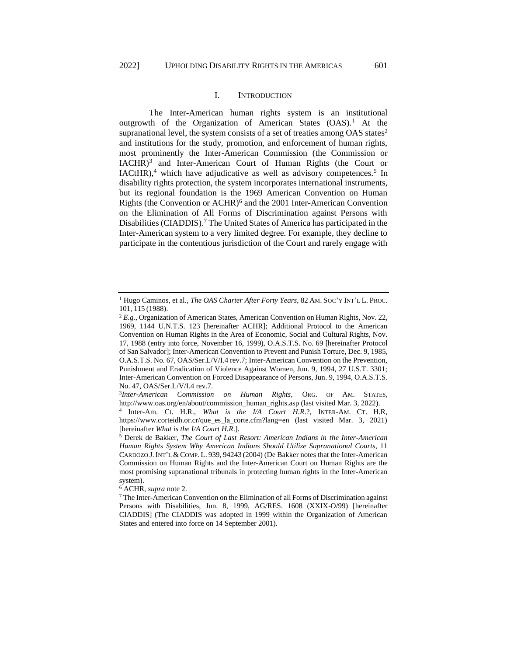## I. INTRODUCTION

<span id="page-2-0"></span>The Inter-American human rights system is an institutional outgrowth of the Organization of American States (OAS).<sup>1</sup> At the supranational level, the system consists of a set of treaties among  $OAS$  states<sup>2</sup> and institutions for the study, promotion, and enforcement of human rights, most prominently the Inter-American Commission (the Commission or IACHR)<sup>3</sup> and Inter-American Court of Human Rights (the Court or  $IACtHR$ ,<sup>4</sup> which have adjudicative as well as advisory competences.<sup>5</sup> In disability rights protection, the system incorporates international instruments, but its regional foundation is the 1969 American Convention on Human Rights (the Convention or ACHR)<sup>6</sup> and the 2001 Inter-American Convention on the Elimination of All Forms of Discrimination against Persons with Disabilities (CIADDIS). <sup>7</sup> The United States of America has participated in the Inter-American system to a very limited degree. For example, they decline to participate in the contentious jurisdiction of the Court and rarely engage with

<sup>1</sup> Hugo Caminos, et al., *The OAS Charter After Forty Years*, 82 AM. SOC'Y INT'L L. PROC. 101, 115 (1988).

<sup>2</sup> *E.g.,* Organization of American States, American Convention on Human Rights, Nov. 22, 1969, 1144 U.N.T.S. 123 [hereinafter ACHR]; Additional Protocol to the American Convention on Human Rights in the Area of Economic, Social and Cultural Rights, Nov. 17, 1988 (entry into force, November 16, 1999), O.A.S.T.S. No. 69 [hereinafter Protocol of San Salvador]; Inter-American Convention to Prevent and Punish Torture, Dec. 9, 1985, O.A.S.T.S. No. 67, OAS/Ser.L/V/I.4 rev.7; Inter-American Convention on the Prevention, Punishment and Eradication of Violence Against Women, Jun. 9, 1994, 27 U.S.T. 3301; Inter-American Convention on Forced Disappearance of Persons, Jun. 9, 1994, O.A.S.T.S. No. 47, OAS/Ser.L/V/I.4 rev.7.

<sup>3</sup> *Inter-American Commission on Human Rights*, ORG. OF AM. STATES, http://www.oas.org/en/about/commission\_human\_rights.asp (last visited Mar. 3, 2022).

<sup>4</sup> Inter-Am. Ct. H.R., *What is the I/A Court H.R*.?, INTER-AM. CT. H.R, https://www.corteidh.or.cr/que\_es\_la\_corte.cfm?lang=en (last visited Mar. 3, 2021) [hereinafter *What is the I/A Court H.R*.].

<sup>5</sup> Derek de Bakker, *The Court of Last Resort: American Indians in the Inter-American Human Rights System Why American Indians Should Utilize Supranational Courts*, 11 CARDOZO J. INT'L & COMP. L. 939, 94243 (2004) (De Bakker notes that the Inter-American Commission on Human Rights and the Inter-American Court on Human Rights are the most promising supranational tribunals in protecting human rights in the Inter-American system).

<sup>6</sup> ACHR, *supra* note 2.

<sup>7</sup> The Inter-American Convention on the Elimination of all Forms of Discrimination against Persons with Disabilities, Jun. 8, 1999, AG/RES. 1608 (XXIX-O/99) [hereinafter CIADDIS] (The CIADDIS was adopted in 1999 within the Organization of American States and entered into force on 14 September 2001).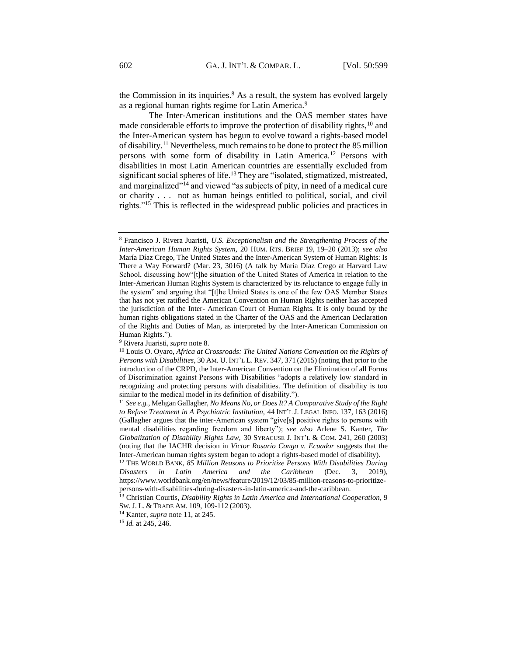the Commission in its inquiries. $8$  As a result, the system has evolved largely as a regional human rights regime for Latin America.<sup>9</sup>

The Inter-American institutions and the OAS member states have made considerable efforts to improve the protection of disability rights,  $10$  and the Inter-American system has begun to evolve toward a rights-based model of disability.<sup>11</sup> Nevertheless, much remains to be done to protect the 85 million persons with some form of disability in Latin America.<sup>12</sup> Persons with disabilities in most Latin American countries are essentially excluded from significant social spheres of life.<sup>13</sup> They are "isolated, stigmatized, mistreated, and marginalized"<sup>14</sup> and viewed "as subjects of pity, in need of a medical cure or charity . . . not as human beings entitled to political, social, and civil rights."<sup>15</sup> This is reflected in the widespread public policies and practices in

<sup>9</sup> Rivera Juaristi, *supra* note 8.

<sup>8</sup> Francisco J. Rivera Juaristi, *U.S. Exceptionalism and the Strengthening Process of the Inter-American Human Rights System,* 20 HUM. RTS. BRIEF 19, 19–20 (2013); *see also* María Díaz Crego, The United States and the Inter-American System of Human Rights: Is There a Way Forward? (Mar. 23, 3016) (A talk by María Díaz Crego at Harvard Law School, discussing how"[t]he situation of the United States of America in relation to the Inter-American Human Rights System is characterized by its reluctance to engage fully in the system" and arguing that "[t]he United States is one of the few OAS Member States that has not yet ratified the American Convention on Human Rights neither has accepted the jurisdiction of the Inter- American Court of Human Rights. It is only bound by the human rights obligations stated in the Charter of the OAS and the American Declaration of the Rights and Duties of Man, as interpreted by the Inter-American Commission on Human Rights.").

<sup>10</sup> Louis O. Oyaro, *Africa at Crossroads: The United Nations Convention on the Rights of Persons with Disabilities,* 30 AM. U. INT'L L. REV. 347, 371 (2015) (noting that prior to the introduction of the CRPD, the Inter-American Convention on the Elimination of all Forms of Discrimination against Persons with Disabilities "adopts a relatively low standard in recognizing and protecting persons with disabilities. The definition of disability is too similar to the medical model in its definition of disability.").

<sup>11</sup> *See e.g.,* Mehgan Gallagher, *No Means No, or Does It? A Comparative Study of the Right to Refuse Treatment in A Psychiatric Institution,* 44 INT'L J. LEGAL INFO. 137, 163 (2016) (Gallagher argues that the inter-American system "give[s] positive rights to persons with mental disabilities regarding freedom and liberty"); *see also* Arlene S. Kanter, *The Globalization of Disability Rights Law*, 30 SYRACUSE J. INT'L & COM. 241, 260 (2003) (noting that the IACHR decision in *Victor Rosario Congo v. Ecuador* suggests that the Inter-American human rights system began to adopt a rights-based model of disability).

<sup>12</sup> THE WORLD BANK, *85 Million Reasons to Prioritize Persons With Disabilities During Disasters in Latin America and the Caribbean* (Dec. 3, 2019), https://www.worldbank.org/en/news/feature/2019/12/03/85-million-reasons-to-prioritizepersons-with-disabilities-during-disasters-in-latin-america-and-the-caribbean.

<sup>13</sup> Christian Courtis, *Disability Rights in Latin America and International Cooperation*, 9 SW.J. L. & TRADE AM. 109, 109-112 (2003).

<sup>14</sup> Kanter, *supra* note 11, at 245.

<sup>15</sup> *Id.* at 245, 246.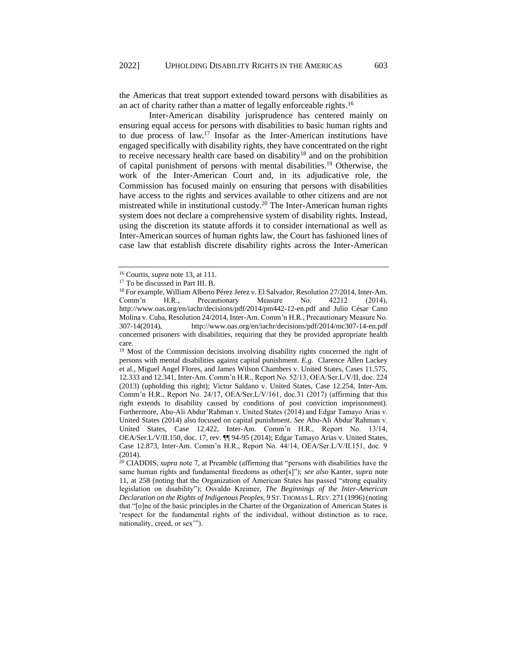the Americas that treat support extended toward persons with disabilities as an act of charity rather than a matter of legally enforceable rights.<sup>16</sup>

Inter-American disability jurisprudence has centered mainly on ensuring equal access for persons with disabilities to basic human rights and to due process of law.<sup>17</sup> Insofar as the Inter-American institutions have engaged specifically with disability rights, they have concentrated on the right to receive necessary health care based on disability<sup>18</sup> and on the prohibition of capital punishment of persons with mental disabilities.<sup>19</sup> Otherwise, the work of the Inter-American Court and, in its adjudicative role, the Commission has focused mainly on ensuring that persons with disabilities have access to the rights and services available to other citizens and are not mistreated while in institutional custody.<sup>20</sup> The Inter-American human rights system does not declare a comprehensive system of disability rights. Instead, using the discretion its statute affords it to consider international as well as Inter-American sources of human rights law, the Court has fashioned lines of case law that establish discrete disability rights across the Inter-American

<sup>16</sup> Courtis, *supra* note 13, at 111.

<sup>17</sup> To be discussed in Part III. B.

<sup>18</sup> For example, William Alberto Pérez Jerez v. El Salvador, Resolution 27/2014, Inter-Am. Comm'n H.R., Precautionary Measure No. 42212 (2014), http://www.oas.org/en/iachr/decisions/pdf/2014/pm442-12-en.pdf and Julio César Cano Molina v. Cuba, Resolution 24/2014, Inter-Am. Comm'n H.R., Precautionary Measure No. 307-14(2014), http://www.oas.org/en/iachr/decisions/pdf/2014/mc307-14-en.pdf concerned prisoners with disabilities, requiring that they be provided appropriate health care.

<sup>&</sup>lt;sup>19</sup> Most of the Commission decisions involving disability rights concerned the right of persons with mental disabilities against capital punishment. *E.g.* Clarence Allen Lackey et al., Miguel Angel Flores, and James Wilson Chambers v. United States, Cases 11.575, 12.333 and 12.341, Inter-Am. Comm'n H.R., Report No. 52/13, OEA/Ser.L/V/II, doc. 224 (2013) (upholding this right); Victor Saldano v. United States, Case 12.254, Inter-Am. Comm'n H.R., Report No. 24/17, OEA/Ser.L/V/161, doc.31 (2017) (affirming that this right extends to disability caused by conditions of post conviction imprisonment). Furthermore, Abu-Ali Abdur'Rahman v. United States (2014) and Edgar Tamayo Arias v. United States (2014) also focused on capital punishment. *See* Abu-Ali Abdur'Rahman v. United States, Case 12.422, Inter-Am. Comm'n H.R., Report No. 13/14, OEA/Ser.L/V/II.150, doc. 17, rev. ¶¶ 94-95 (2014); Edgar Tamayo Arias v. United States, Case 12.873, Inter-Am. Comm'n H.R., Report No. 44/14, OEA/Ser.L/V/II.151, doc. 9  $(2014)$ .

<sup>20</sup> CIADDIS, *supra* note 7, at Preamble (affirming that "persons with disabilities have the same human rights and fundamental freedoms as other[s]"); *see also* Kanter, *supra* note 11, at 258 (noting that the Organization of American States has passed "strong equality legislation on disability"); Osvaldo Kreimer*, The Beginnings of the Inter-American Declaration on the Rights of Indigenous Peoples*, 9 ST. THOMAS L.REV. 271 (1996)(noting that "[o]ne of the basic principles in the Charter of the Organization of American States is 'respect for the fundamental rights of the individual, without distinction as to race, nationality, creed, or sex'").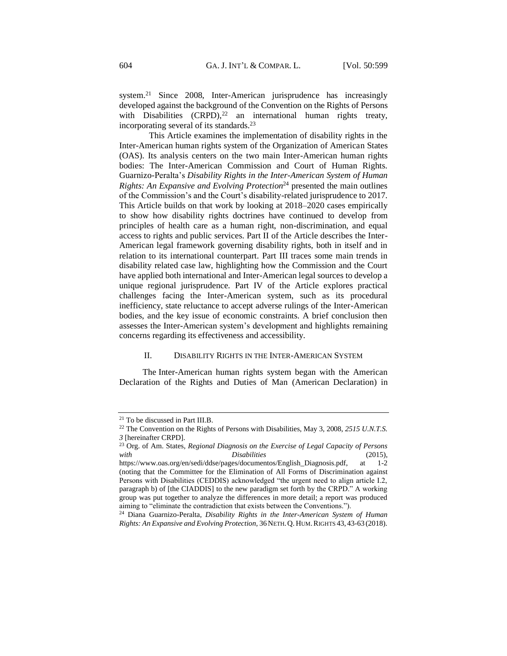system.<sup>21</sup> Since 2008, Inter-American jurisprudence has increasingly developed against the background of the Convention on the Rights of Persons with Disabilities  $(CRPD)$ ,<sup>22</sup> an international human rights treaty, incorporating several of its standards.<sup>23</sup>

This Article examines the implementation of disability rights in the Inter-American human rights system of the Organization of American States (OAS). Its analysis centers on the two main Inter-American human rights bodies: The Inter-American Commission and Court of Human Rights. Guarnizo-Peralta's *Disability Rights in the Inter-American System of Human Rights: An Expansive and Evolving Protection*<sup>24</sup> presented the main outlines of the Commission's and the Court's disability-related jurisprudence to 2017. This Article builds on that work by looking at 2018–2020 cases empirically to show how disability rights doctrines have continued to develop from principles of health care as a human right, non-discrimination, and equal access to rights and public services. Part II of the Article describes the Inter-American legal framework governing disability rights, both in itself and in relation to its international counterpart. Part III traces some main trends in disability related case law, highlighting how the Commission and the Court have applied both international and Inter-American legal sources to develop a unique regional jurisprudence. Part IV of the Article explores practical challenges facing the Inter-American system, such as its procedural inefficiency, state reluctance to accept adverse rulings of the Inter-American bodies, and the key issue of economic constraints. A brief conclusion then assesses the Inter-American system's development and highlights remaining concerns regarding its effectiveness and accessibility.

### II. DISABILITY RIGHTS IN THE INTER-AMERICAN SYSTEM

<span id="page-5-0"></span>The Inter-American human rights system began with the American Declaration of the Rights and Duties of Man (American Declaration) in

<sup>21</sup> To be discussed in Part III.B.

<sup>22</sup> The Convention on the Rights of Persons with Disabilities, May 3, 2008, *2515 U.N.T.S. 3* [hereinafter CRPD].

<sup>23</sup> Org. of Am. States, *Regional Diagnosis on the Exercise of Legal Capacity of Persons with Disabilities* (2015),

https://www.oas.org/en/sedi/ddse/pages/documentos/English\_Diagnosis.pdf, at 1-2 (noting that the Committee for the Elimination of All Forms of Discrimination against Persons with Disabilities (CEDDIS) acknowledged "the urgent need to align article I.2, paragraph b) of [the CIADDIS] to the new paradigm set forth by the CRPD." A working group was put together to analyze the differences in more detail; a report was produced aiming to "eliminate the contradiction that exists between the Conventions.").

<sup>24</sup> Diana Guarnizo-Peralta, *Disability Rights in the Inter-American System of Human Rights: An Expansive and Evolving Protection,* 36NETH.Q. HUM.RIGHTS 43, 43-63 (2018).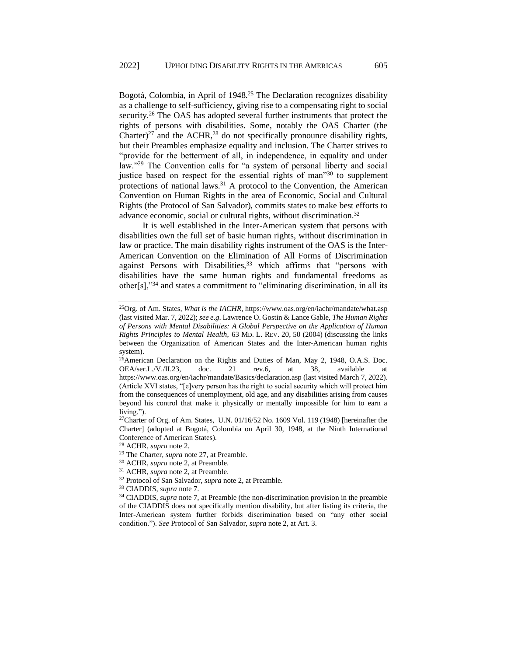Bogotá, Colombia, in April of 1948.<sup>25</sup> The Declaration recognizes disability as a challenge to self-sufficiency, giving rise to a compensating right to social security.<sup>26</sup> The OAS has adopted several further instruments that protect the rights of persons with disabilities. Some, notably the OAS Charter (the Charter)<sup>27</sup> and the ACHR,<sup>28</sup> do not specifically pronounce disability rights, but their Preambles emphasize equality and inclusion. The Charter strives to "provide for the betterment of all, in independence, in equality and under law."<sup>29</sup> The Convention calls for "a system of personal liberty and social justice based on respect for the essential rights of man<sup>330</sup> to supplement protections of national laws. $31$  A protocol to the Convention, the American Convention on Human Rights in the area of Economic, Social and Cultural Rights (the Protocol of San Salvador), commits states to make best efforts to advance economic, social or cultural rights, without discrimination.<sup>32</sup>

It is well established in the Inter-American system that persons with disabilities own the full set of basic human rights, without discrimination in law or practice. The main disability rights instrument of the OAS is the Inter-American Convention on the Elimination of All Forms of Discrimination against Persons with Disabilities,<sup>33</sup> which affirms that "persons with disabilities have the same human rights and fundamental freedoms as other[s],"<sup>34</sup> and states a commitment to "eliminating discrimination, in all its

<sup>25</sup>Org. of Am. States, *What is the IACHR*, https://www.oas.org/en/iachr/mandate/what.asp (last visited Mar. 7, 2022); *see e.g*. Lawrence O. Gostin & Lance Gable, *The Human Rights of Persons with Mental Disabilities: A Global Perspective on the Application of Human Rights Principles to Mental Health*, 63 MD. L. REV. 20, 50 (2004) (discussing the links between the Organization of American States and the Inter-American human rights system).

<sup>&</sup>lt;sup>26</sup>American Declaration on the Rights and Duties of Man, May 2, 1948, O.A.S. Doc. OEA/ser.L./V./II.23, doc. 21 rev.6, at 38, available at https://www.oas.org/en/iachr/mandate/Basics/declaration.asp (last visited March 7, 2022). (Article XVI states, "[e]very person has the right to social security which will protect him from the consequences of unemployment, old age, and any disabilities arising from causes beyond his control that make it physically or mentally impossible for him to earn a living.").

<sup>&</sup>lt;sup>27</sup>Charter of Org. of Am. States, U.N.  $01/16/52$  No. 1609 Vol. 119 (1948) [hereinafter the Charter] (adopted at Bogotá, Colombia on April 30, 1948, at the Ninth International Conference of American States).

<sup>28</sup> ACHR, *supra* note 2.

<sup>29</sup> The Charter, *supra* note 27, at Preamble.

<sup>30</sup> ACHR, *supra* note 2, at Preamble.

<sup>31</sup> ACHR, *supra* note 2, at Preamble.

<sup>32</sup> Protocol of San Salvador, *supra* note 2, at Preamble.

<sup>33</sup> CIADDIS, *supra* note 7.

<sup>34</sup> CIADDIS, *supra* note 7*,* at Preamble (the non-discrimination provision in the preamble of the CIADDIS does not specifically mention disability, but after listing its criteria, the Inter-American system further forbids discrimination based on "any other social condition."). *See* Protocol of San Salvador, *supra* note 2, at Art. 3.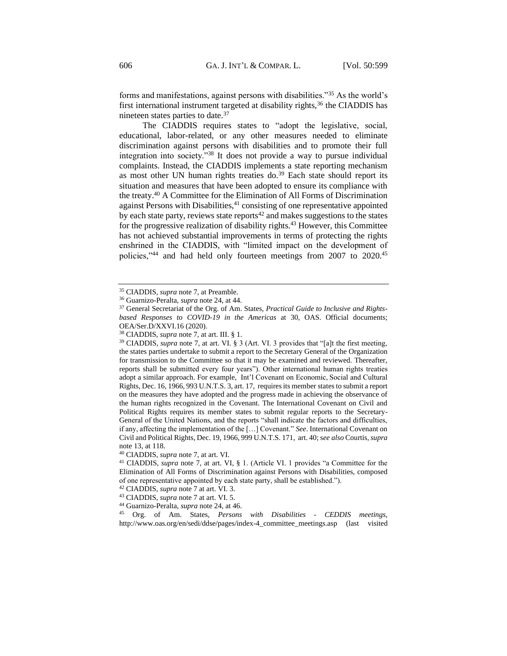forms and manifestations, against persons with disabilities."<sup>35</sup> As the world's first international instrument targeted at disability rights,<sup>36</sup> the CIADDIS has nineteen states parties to date.<sup>37</sup>

The CIADDIS requires states to "adopt the legislative, social, educational, labor-related, or any other measures needed to eliminate discrimination against persons with disabilities and to promote their full integration into society."<sup>38</sup> It does not provide a way to pursue individual complaints. Instead, the CIADDIS implements a state reporting mechanism as most other UN human rights treaties do.<sup>39</sup> Each state should report its situation and measures that have been adopted to ensure its compliance with the treaty.<sup>40</sup> A Committee for the Elimination of All Forms of Discrimination against Persons with Disabilities, $41$  consisting of one representative appointed by each state party, reviews state reports<sup>42</sup> and makes suggestions to the states for the progressive realization of disability rights.<sup>43</sup> However, this Committee has not achieved substantial improvements in terms of protecting the rights enshrined in the CIADDIS, with "limited impact on the development of policies,"<sup>44</sup> and had held only fourteen meetings from 2007 to 2020.<sup>45</sup>

<sup>35</sup> CIADDIS, *supra* note 7, at Preamble.

<sup>36</sup> Guarnizo-Peralta, *supra* note 24, at 44.

<sup>37</sup> General Secretariat of the Org. of Am. States, *Practical Guide to Inclusive and Rightsbased Responses to COVID-19 in the Americas* at 30, OAS. Official documents; OEA/Ser.D/XXVI.16 (2020).

<sup>38</sup> CIADDIS, *supra* note 7, at art. III. § 1.

<sup>&</sup>lt;sup>39</sup> CIADDIS, *supra* note 7, at art. VI. § 3 (Art. VI. 3 provides that "[a]t the first meeting, the states parties undertake to submit a report to the Secretary General of the Organization for transmission to the Committee so that it may be examined and reviewed. Thereafter, reports shall be submitted every four years"). Other international human rights treaties adopt a similar approach. For example, Int'l Covenant on Economic, Social and Cultural Rights, Dec. 16, 1966, 993 U.N.T.S. 3, art. 17, requires its member states to submit a report on the measures they have adopted and the progress made in achieving the observance of the human rights recognized in the Covenant. The International Covenant on Civil and Political Rights requires its member states to submit regular reports to the Secretary-General of the United Nations, and the reports "shall indicate the factors and difficulties, if any, affecting the implementation of the […] Covenant." *See*. International Covenant on Civil and Political Rights, Dec. 19, 1966, 999 U.N.T.S. 171, art. 40; s*ee also* Courtis, *supra*  note 13, at 118.

<sup>40</sup> CIADDIS, *supra* note 7, at art. VI.

<sup>41</sup> CIADDIS, *supra* note 7*,* at art. VI, § 1. (Article VI. 1 provides "a Committee for the Elimination of All Forms of Discrimination against Persons with Disabilities, composed of one representative appointed by each state party, shall be established.").

<sup>42</sup> CIADDIS, *supra* note 7 at art. VI. 3.

<sup>43</sup> CIADDIS, *supra* note 7 at art. VI. 5.

<sup>44</sup> Guarnizo-Peralta, *supra* note 24, at 46.

<sup>45</sup> Org. of Am. States, *Persons with Disabilities - CEDDIS meetings*, http://www.oas.org/en/sedi/ddse/pages/index-4\_committee\_meetings.asp (last visited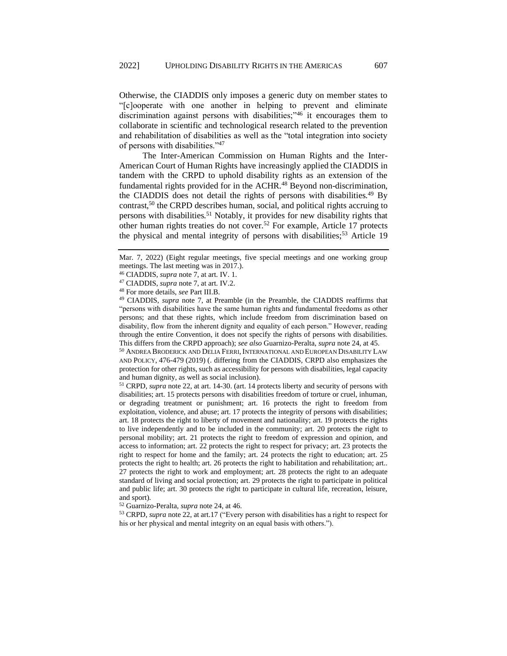Otherwise, the CIADDIS only imposes a generic duty on member states to "[c]ooperate with one another in helping to prevent and eliminate discrimination against persons with disabilities;"<sup>46</sup> it encourages them to collaborate in scientific and technological research related to the prevention and rehabilitation of disabilities as well as the "total integration into society of persons with disabilities."<sup>47</sup>

The Inter-American Commission on Human Rights and the Inter-American Court of Human Rights have increasingly applied the CIADDIS in tandem with the CRPD to uphold disability rights as an extension of the fundamental rights provided for in the ACHR.<sup>48</sup> Beyond non-discrimination, the CIADDIS does not detail the rights of persons with disabilities.<sup>49</sup> By contrast,<sup>50</sup> the CRPD describes human, social, and political rights accruing to persons with disabilities.<sup>51</sup> Notably, it provides for new disability rights that other human rights treaties do not cover.<sup>52</sup> For example, Article 17 protects the physical and mental integrity of persons with disabilities;<sup>53</sup> Article 19

<sup>50</sup> ANDREA BRODERICK AND DELIA FERRI, INTERNATIONAL AND EUROPEAN DISABILITY LAW AND POLICY, 476-479 (2019) (. differing from the CIADDIS, CRPD also emphasizes the protection for other rights, such as accessibility for persons with disabilities, legal capacity and human dignity, as well as social inclusion).

<sup>51</sup> CRPD, *supra* note 22, at art. 14-30. (art. 14 protects liberty and security of persons with disabilities; art. 15 protects persons with disabilities freedom of torture or cruel, inhuman, or degrading treatment or punishment; art. 16 protects the right to freedom from exploitation, violence, and abuse; art. 17 protects the integrity of persons with disabilities; art. 18 protects the right to liberty of movement and nationality; art. 19 protects the rights to live independently and to be included in the community; art. 20 protects the right to personal mobility; art. 21 protects the right to freedom of expression and opinion, and access to information; art. 22 protects the right to respect for privacy; art. 23 protects the right to respect for home and the family; art. 24 protects the right to education; art. 25 protects the right to health; art. 26 protects the right to habilitation and rehabilitation; art.. 27 protects the right to work and employment; art. 28 protects the right to an adequate standard of living and social protection; art. 29 protects the right to participate in political and public life; art. 30 protects the right to participate in cultural life, recreation, leisure, and sport).

<sup>52</sup> Guarnizo-Peralta, *supra* note 24, at 46.

<sup>53</sup> CRPD, *supra* note 22, at art.17 ("Every person with disabilities has a right to respect for his or her physical and mental integrity on an equal basis with others.").

Mar. 7, 2022) (Eight regular meetings, five special meetings and one working group meetings. The last meeting was in 2017.).

<sup>46</sup> CIADDIS, *supra* note 7, at art. IV. 1.

<sup>47</sup> CIADDIS, *supra* note 7, at art. IV.2.

<sup>48</sup> For more details, *see* Part III.B.

<sup>49</sup> CIADDIS, *supra* note 7, at Preamble (in the Preamble, the CIADDIS reaffirms that "persons with disabilities have the same human rights and fundamental freedoms as other persons; and that these rights, which include freedom from discrimination based on disability, flow from the inherent dignity and equality of each person." However, reading through the entire Convention, it does not specify the rights of persons with disabilities. This differs from the CRPD approach); *see also* Guarnizo-Peralta, *supra* note 24, at 45.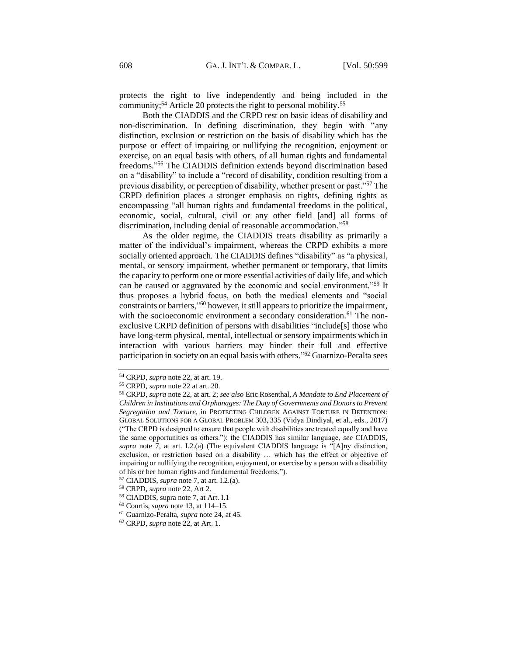protects the right to live independently and being included in the community;<sup>54</sup> Article 20 protects the right to personal mobility.<sup>55</sup>

Both the CIADDIS and the CRPD rest on basic ideas of disability and non-discrimination. In defining discrimination, they begin with "any distinction, exclusion or restriction on the basis of disability which has the purpose or effect of impairing or nullifying the recognition, enjoyment or exercise, on an equal basis with others, of all human rights and fundamental freedoms." <sup>56</sup> The CIADDIS definition extends beyond discrimination based on a "disability" to include a "record of disability, condition resulting from a previous disability, or perception of disability, whether present or past."<sup>57</sup> The CRPD definition places a stronger emphasis on rights, defining rights as encompassing "all human rights and fundamental freedoms in the political, economic, social, cultural, civil or any other field [and] all forms of discrimination, including denial of reasonable accommodation."<sup>58</sup>

As the older regime, the CIADDIS treats disability as primarily a matter of the individual's impairment, whereas the CRPD exhibits a more socially oriented approach. The CIADDIS defines "disability" as "a physical, mental, or sensory impairment, whether permanent or temporary, that limits the capacity to perform one or more essential activities of daily life, and which can be caused or aggravated by the economic and social environment."<sup>59</sup> It thus proposes a hybrid focus, on both the medical elements and "social constraints or barriers,"<sup>60</sup> however, it still appears to prioritize the impairment, with the socioeconomic environment a secondary consideration.<sup>61</sup> The nonexclusive CRPD definition of persons with disabilities "include[s] those who have long-term physical, mental, intellectual or sensory impairments which in interaction with various barriers may hinder their full and effective participation in society on an equal basis with others."<sup>62</sup> Guarnizo-Peralta sees

<sup>54</sup> CRPD, *supra* note 22, at art. 19.

<sup>55</sup> CRPD, *supra* note 22 at art. 20.

<sup>56</sup> CRPD, *supra* note 22, at art. 2; *see also* Eric Rosenthal, *A Mandate to End Placement of Children in Institutions and Orphanages: The Duty of Governments and Donors to Prevent Segregation and Torture*, in PROTECTING CHILDREN AGAINST TORTURE IN DETENTION: GLOBAL SOLUTIONS FOR A GLOBAL PROBLEM 303, 335 (Vidya Dindiyal, et al., eds., 2017) ("The CRPD is designed to ensure that people with disabilities are treated equally and have the same opportunities as others."); the CIADDIS has similar language, *see* CIADDIS, *supra* note 7, at art. I.2.(a) (The equivalent CIADDIS language is "[A]ny distinction, exclusion, or restriction based on a disability … which has the effect or objective of impairing or nullifying the recognition, enjoyment, or exercise by a person with a disability of his or her human rights and fundamental freedoms.").

<sup>57</sup> CIADDIS, *supra* note 7, at art. I.2.(a).

<sup>58</sup> CRPD, *supra* note 22, Art 2.

<sup>59</sup> CIADDIS, supra note 7, at Art. I.1

<sup>60</sup> Courtis, *supra* note 13, at 114–15.

<sup>61</sup> Guarnizo-Peralta, *supra* note 24, at 45.

<sup>62</sup> CRPD, *supra* note 22, at Art. 1.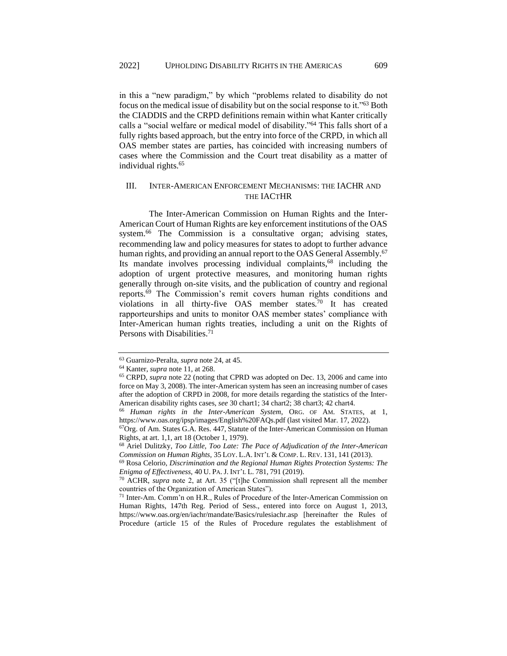in this a "new paradigm," by which "problems related to disability do not focus on the medical issue of disability but on the social response to it."<sup>63</sup> Both the CIADDIS and the CRPD definitions remain within what Kanter critically calls a "social welfare or medical model of disability." <sup>64</sup> This falls short of a fully rights based approach, but the entry into force of the CRPD, in which all OAS member states are parties, has coincided with increasing numbers of cases where the Commission and the Court treat disability as a matter of individual rights.<sup>65</sup>

## <span id="page-10-0"></span>III. INTER-AMERICAN ENFORCEMENT MECHANISMS: THE IACHR AND THE IACTHR

The Inter-American Commission on Human Rights and the Inter-American Court of Human Rights are key enforcement institutions of the OAS system.<sup>66</sup> The Commission is a consultative organ; advising states, recommending law and policy measures for states to adopt to further advance human rights, and providing an annual report to the OAS General Assembly.<sup>67</sup> Its mandate involves processing individual complaints,<sup>68</sup> including the adoption of urgent protective measures, and monitoring human rights generally through on-site visits, and the publication of country and regional reports.<sup>69</sup> The Commission's remit covers human rights conditions and violations in all thirty-five OAS member states.<sup>70</sup> It has created rapporteurships and units to monitor OAS member states' compliance with Inter-American human rights treaties, including a unit on the Rights of Persons with Disabilities.<sup>71</sup>

<sup>63</sup> Guarnizo-Peralta, *supra* note 24, at 45.

<sup>64</sup> Kanter, *supra* note 11, at 268.

<sup>65</sup> CRPD, *supra* note 22 (noting that CPRD was adopted on Dec. 13, 2006 and came into force on May 3, 2008). The inter-American system has seen an increasing number of cases after the adoption of CRPD in 2008, for more details regarding the statistics of the Inter-American disability rights cases, *see* 30 chart1; 34 chart2; 38 chart3; 42 chart4.

<sup>66</sup> *Human rights in the Inter-American System*, ORG. OF AM. STATES, at 1, https://www.oas.org/ipsp/images/English%20FAQs.pdf (last visited Mar. 17, 2022).

<sup>67</sup>Org. of Am. States G.A. Res. 447, Statute of the Inter-American Commission on Human Rights, at art. 1,1, art 18 (October 1, 1979).

<sup>68</sup> Ariel Dulitzky, *Too Little, Too Late: The Pace of Adjudication of the Inter-American Commission on Human Rights,* 35 LOY. L.A. INT'L & COMP. L. REV. 131, 141 (2013).

<sup>69</sup> Rosa Celorio, *Discrimination and the Regional Human Rights Protection Systems: The Enigma of Effectiveness*, 40 U. PA. J. INT'L L. 781, 791 (2019).

<sup>70</sup> ACHR, *supra* note 2, at Art. 35 ("[t]he Commission shall represent all the member countries of the Organization of American States").

<sup>71</sup> Inter-Am. Comm'n on H.R., Rules of Procedure of the Inter-American Commission on Human Rights, 147th Reg. Period of Sess., entered into force on August 1, 2013, https://www.oas.org/en/iachr/mandate/Basics/rulesiachr.asp [hereinafter the Rules of Procedure (article 15 of the Rules of Procedure regulates the establishment of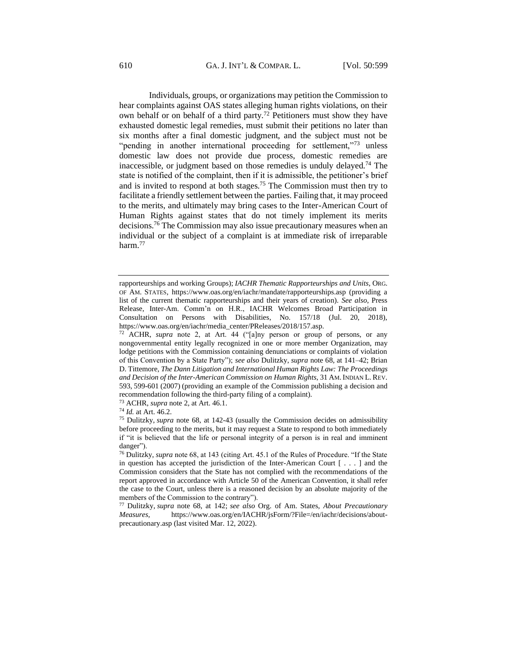Individuals, groups, or organizations may petition the Commission to hear complaints against OAS states alleging human rights violations, on their own behalf or on behalf of a third party.<sup>72</sup> Petitioners must show they have exhausted domestic legal remedies, must submit their petitions no later than six months after a final domestic judgment, and the subject must not be "pending in another international proceeding for settlement,"73 unless domestic law does not provide due process, domestic remedies are inaccessible, or judgment based on those remedies is unduly delayed.<sup>74</sup> The state is notified of the complaint, then if it is admissible, the petitioner's brief and is invited to respond at both stages.<sup>75</sup> The Commission must then try to facilitate a friendly settlement between the parties. Failing that, it may proceed to the merits, and ultimately may bring cases to the Inter-American Court of Human Rights against states that do not timely implement its merits decisions.<sup>76</sup> The Commission may also issue precautionary measures when an individual or the subject of a complaint is at immediate risk of irreparable harm.<sup>77</sup>

<sup>73</sup> ACHR, *supra* note 2, at Art. 46.1.

rapporteurships and working Groups); *IACHR Thematic Rapporteurships and Units*, ORG. OF AM. STATES, https://www.oas.org/en/iachr/mandate/rapporteurships.asp (providing a list of the current thematic rapporteurships and their years of creation). *See also*, Press Release, Inter-Am. Comm'n on H.R., IACHR Welcomes Broad Participation in Consultation on Persons with Disabilities, No. 157/18 (Jul. 20, 2018), https://www.oas.org/en/iachr/media\_center/PReleases/2018/157.asp.

<sup>72</sup> ACHR, *supra* note 2, at Art. 44 ("[a]ny person or group of persons, or any nongovernmental entity legally recognized in one or more member Organization, may lodge petitions with the Commission containing denunciations or complaints of violation of this Convention by a State Party"); *see also* Dulitzky, *supra* note 68, at 141–42; Brian D. Tittemore, *The Dann Litigation and International Human Rights Law: The Proceedings and Decision of the Inter-American Commission on Human Rights,* 31 AM.INDIAN L. REV. 593, 599-601 (2007) (providing an example of the Commission publishing a decision and recommendation following the third-party filing of a complaint).

<sup>74</sup> *Id.* at Art. 46.2.

<sup>75</sup> Dulitzky, *supra* note 68, at 142-43 (usually the Commission decides on admissibility before proceeding to the merits, but it may request a State to respond to both immediately if "it is believed that the life or personal integrity of a person is in real and imminent danger").

<sup>76</sup> Dulitzky, *supra* note 68, at 143 (citing Art. 45.1 of the Rules of Procedure. "If the State in question has accepted the jurisdiction of the Inter-American Court  $[\ldots]$  and the Commission considers that the State has not complied with the recommendations of the report approved in accordance with Article 50 of the American Convention, it shall refer the case to the Court, unless there is a reasoned decision by an absolute majority of the members of the Commission to the contrary").

<sup>77</sup> Dulitzky, *supra* note 68, at 142; *see also* Org. of Am. States, *About Precautionary Measures,* https://www.oas.org/en/IACHR/jsForm/?File=/en/iachr/decisions/aboutprecautionary.asp (last visited Mar. 12, 2022).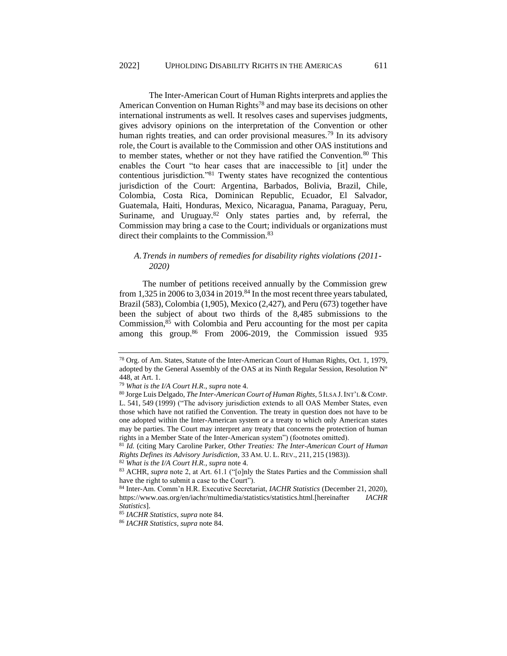The Inter-American Court of Human Rights interprets and applies the American Convention on Human Rights<sup>78</sup> and may base its decisions on other international instruments as well. It resolves cases and supervises judgments, gives advisory opinions on the interpretation of the Convention or other human rights treaties, and can order provisional measures.<sup>79</sup> In its advisory role, the Court is available to the Commission and other OAS institutions and to member states, whether or not they have ratified the Convention.<sup>80</sup> This enables the Court "to hear cases that are inaccessible to [it] under the contentious jurisdiction."<sup>81</sup> Twenty states have recognized the contentious jurisdiction of the Court: Argentina, Barbados, Bolivia, Brazil, Chile, Colombia, Costa Rica, Dominican Republic, Ecuador, El Salvador, Guatemala, Haiti, Honduras, Mexico, Nicaragua, Panama, Paraguay, Peru, Suriname, and Uruguay. $82$  Only states parties and, by referral, the Commission may bring a case to the Court; individuals or organizations must direct their complaints to the Commission.<sup>83</sup>

## <span id="page-12-0"></span>*A.Trends in numbers of remedies for disability rights violations (2011- 2020)*

The number of petitions received annually by the Commission grew from 1,325 in 2006 to 3,034 in 2019.<sup>84</sup> In the most recent three years tabulated, Brazil (583), Colombia (1,905), Mexico (2,427), and Peru (673) together have been the subject of about two thirds of the 8,485 submissions to the Commission,<sup>85</sup> with Colombia and Peru accounting for the most per capita among this group. $86$  From 2006-2019, the Commission issued 935

<sup>78</sup> Org. of Am. States, Statute of the Inter-American Court of Human Rights, Oct. 1, 1979, adopted by the General Assembly of the OAS at its Ninth Regular Session, Resolution Nº 448, at Art. 1.

<sup>79</sup> *What is the I/A Court H.R*., *supra* note 4.

<sup>80</sup> Jorge Luis Delgado, *The Inter-American Court of Human Rights*, 5 ILSA J.INT'L & COMP. L. 541, 549 (1999) ("The advisory jurisdiction extends to all OAS Member States, even those which have not ratified the Convention. The treaty in question does not have to be one adopted within the Inter-American system or a treaty to which only American states may be parties. The Court may interpret any treaty that concerns the protection of human rights in a Member State of the Inter-American system") (footnotes omitted).

<sup>81</sup> *Id.* (citing Mary Caroline Parker, *Other Treaties: The Inter-American Court of Human Rights Defines its Advisory Jurisdiction*, 33 AM. U. L. REV., 211, 215 (1983)).

<sup>82</sup> *What is the I/A Court H.R.*, *supra* note 4.

<sup>83</sup> ACHR, *supra* note 2, at Art. 61.1 ("[o]nly the States Parties and the Commission shall have the right to submit a case to the Court").

<sup>84</sup> Inter-Am. Comm'n H.R. Executive Secretariat, *IACHR Statistics* (December 21, 2020), https://www.oas.org/en/iachr/multimedia/statistics/statistics.html.[hereinafter *IACHR Statistics*].

<sup>85</sup> *IACHR Statistics, supra* note 84.

<sup>86</sup> *IACHR Statistics, supra* note 84.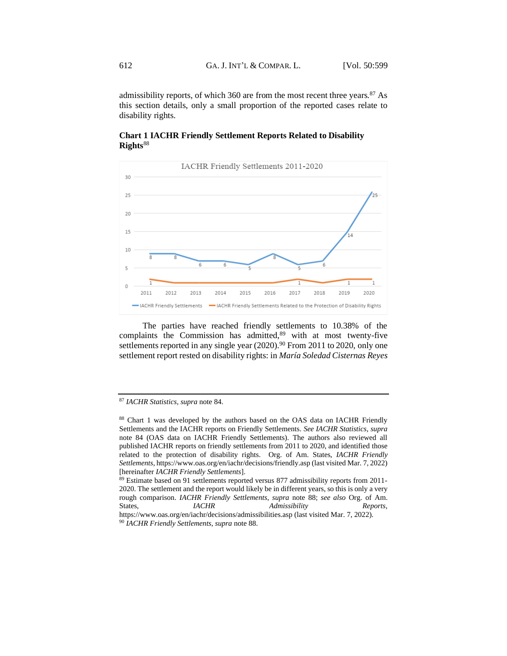admissibility reports, of which 360 are from the most recent three years. $87$  As this section details, only a small proportion of the reported cases relate to disability rights.

## **Chart 1 IACHR Friendly Settlement Reports Related to Disability Rights**<sup>88</sup>



The parties have reached friendly settlements to 10.38% of the complaints the Commission has admitted, $89$  with at most twenty-five settlements reported in any single year  $(2020)$ .<sup>90</sup> From 2011 to 2020, only one settlement report rested on disability rights: in *María Soledad Cisternas Reyes* 

<sup>87</sup> *IACHR Statistics, supra* note 84.

<sup>88</sup> Chart 1 was developed by the authors based on the OAS data on IACHR Friendly Settlements and the IACHR reports on Friendly Settlements. *See IACHR Statistics*, *supra* note 84 (OAS data on IACHR Friendly Settlements). The authors also reviewed all published IACHR reports on friendly settlements from 2011 to 2020, and identified those related to the protection of disability rights. Org. of Am. States, *IACHR Friendly Settlements*[, https://www.oas.org/en/iachr/decisions/friendly.asp](https://www.oas.org/en/iachr/decisions/friendly.asp) (last visited Mar. 7, 2022) [hereinafter *IACHR Friendly Settlements*].

<sup>&</sup>lt;sup>89</sup> Estimate based on 91 settlements reported versus 877 admissibility reports from 2011-2020. The settlement and the report would likely be in different years, so this is only a very rough comparison. *IACHR Friendly Settlements*, *supra* note 88; *see also* Org. of Am. States, *IACHR Admissibility Reports*, https://www.oas.org/en/iachr/decisions/admissibilities.asp (last visited Mar. 7, 2022).

<sup>90</sup> *IACHR Friendly Settlements*, *supra* note 88.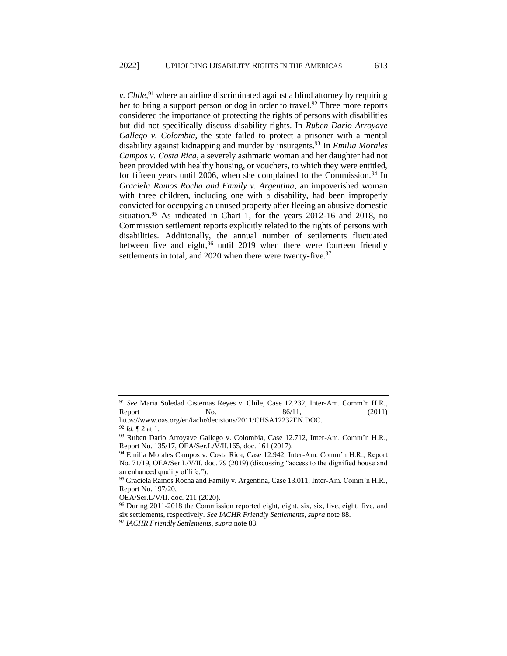*v*. *Chile*,<sup>91</sup> where an airline discriminated against a blind attorney by requiring her to bring a support person or dog in order to travel.<sup>92</sup> Three more reports considered the importance of protecting the rights of persons with disabilities but did not specifically discuss disability rights. In *Ruben Dario Arroyave Gallego v. Colombia*, the state failed to protect a prisoner with a mental disability against kidnapping and murder by insurgents. <sup>93</sup> In *Emilia Morales Campos v. Costa Rica*, a severely asthmatic woman and her daughter had not been provided with healthy housing, or vouchers, to which they were entitled, for fifteen years until 2006, when she complained to the Commission.<sup>94</sup> In *Graciela Ramos Rocha and Family v. Argentina*, an impoverished woman with three children, including one with a disability, had been improperly convicted for occupying an unused property after fleeing an abusive domestic situation.<sup>95</sup> As indicated in Chart 1, for the years  $2012-16$  and  $2018$ , no Commission settlement reports explicitly related to the rights of persons with disabilities. Additionally, the annual number of settlements fluctuated between five and eight,<sup>96</sup> until 2019 when there were fourteen friendly settlements in total, and 2020 when there were twenty-five.<sup>97</sup>

<sup>91</sup> *See* Maria Soledad Cisternas Reyes v. Chile, Case 12.232, Inter-Am. Comm'n H.R., Report  $\qquad \qquad$  No.  $\qquad \qquad 86/11, \qquad \qquad (2011)$ 

https://www.oas.org/en/iachr/decisions/2011/CHSA12232EN.DOC.

<sup>92</sup> *Id.* ¶ 2 at 1.

<sup>93</sup> Ruben Dario Arroyave Gallego v. Colombia, Case 12.712, Inter-Am. Comm'n H.R., Report No. 135/17, OEA/Ser.L/V/II.165, doc. 161 (2017).

<sup>94</sup> Emilia Morales Campos v. Costa Rica, Case 12.942, Inter-Am. Comm'n H.R., Report No. 71/19, OEA/Ser.L/V/II. doc. 79 (2019) (discussing "access to the dignified house and an enhanced quality of life.").

<sup>95</sup> Graciela Ramos Rocha and Family v. Argentina, Case 13.011, Inter-Am. Comm'n H.R., Report No. 197/20,

OEA/Ser.L/V/II. doc. 211 (2020).

<sup>96</sup> During 2011-2018 the Commission reported eight, eight, six, six, five, eight, five, and six settlements, respectively. *See IACHR Friendly Settlements*, *supra* note 88.

<sup>97</sup> *IACHR Friendly Settlements*, *supra* note 88.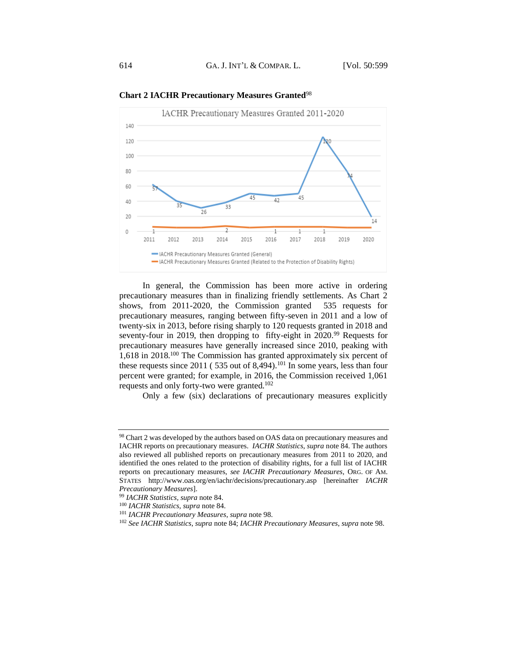

**Chart 2 IACHR Precautionary Measures Granted**<sup>98</sup>

In general, the Commission has been more active in ordering precautionary measures than in finalizing friendly settlements. As Chart 2 shows, from 2011-2020, the Commission granted 535 requests for precautionary measures, ranging between fifty-seven in 2011 and a low of twenty-six in 2013, before rising sharply to 120 requests granted in 2018 and seventy-four in 2019, then dropping to fifty-eight in 2020.<sup>99</sup> Requests for precautionary measures have generally increased since 2010, peaking with 1,618 in 2018.<sup>100</sup> The Commission has granted approximately six percent of these requests since  $2011$  (535 out of 8,494).<sup>101</sup> In some years, less than four percent were granted; for example, in 2016, the Commission received 1,061 requests and only forty-two were granted.<sup>102</sup>

Only a few (six) declarations of precautionary measures explicitly

<sup>98</sup> Chart 2 was developed by the authors based on OAS data on precautionary measures and IACHR reports on precautionary measures. *IACHR Statistics*, *supra* note 84. The authors also reviewed all published reports on precautionary measures from 2011 to 2020, and identified the ones related to the protection of disability rights, for a full list of IACHR reports on precautionary measures, *see IACHR Precautionary Measures*, ORG. OF AM. STATES http://www.oas.org/en/iachr/decisions/precautionary.asp [hereinafter *IACHR Precautionary Measures*].

<sup>99</sup> *IACHR Statistics, supra* note 84.

<sup>100</sup> *IACHR Statistics, supra* note 84.

<sup>101</sup> *IACHR Precautionary Measures*, *supra* note 98.

<sup>102</sup> *See IACHR Statistics*, *supra* note 84; *IACHR Precautionary Measures*, *supra* note 98.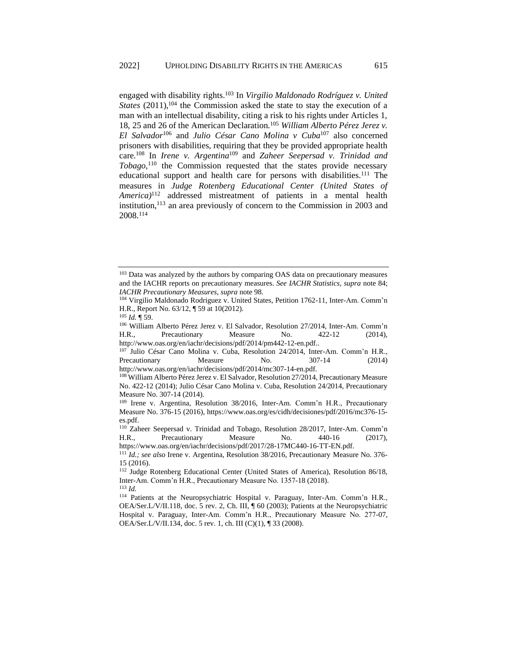engaged with disability rights.<sup>103</sup> In *Virgilio Maldonado Rodríguez v. United States* (2011),<sup>104</sup> the Commission asked the state to stay the execution of a man with an intellectual disability, citing a risk to his rights under Articles 1, 18, 25 and 26 of the American Declaration.<sup>105</sup> *William Alberto Pérez Jerez v. El Salvador*<sup>106</sup> and *Julio César Cano Molina v Cuba*<sup>107</sup> also concerned prisoners with disabilities, requiring that they be provided appropriate health care.<sup>108</sup> In *Irene v. Argentina*<sup>109</sup> and *Zaheer Seepersad v. Trinidad and Tobago*, <sup>110</sup> the Commission requested that the states provide necessary educational support and health care for persons with disabilities.<sup>111</sup> The measures in *Judge Rotenberg Educational Center (United States of America)*<sup>112</sup> addressed mistreatment of patients in a mental health institution,<sup>113</sup> an area previously of concern to the Commission in 2003 and 2008. 114

<sup>106</sup> William Alberto Pérez Jerez v. El Salvador, Resolution 27/2014, Inter-Am. Comm'n H.R., Precautionary Measure No. 422-12 (2014), http://www.oas.org/en/iachr/decisions/pdf/2014/pm442-12-en.pdf..

<sup>107</sup> Julio César Cano Molina v. Cuba, Resolution 24/2014, Inter-Am. Comm'n H.R., Precautionary Measure No. 307-14 (2014) http://www.oas.org/en/iachr/decisions/pdf/2014/mc307-14-en.pdf.

<sup>108</sup> William Alberto Pérez Jerez v. El Salvador, Resolution 27/2014, Precautionary Measure No. 422-12 (2014); Julio César Cano Molina v. Cuba, Resolution 24/2014, Precautionary Measure No. 307-14 (2014).

<sup>109</sup> Irene v. Argentina, Resolution 38/2016, Inter-Am. Comm'n H.R., Precautionary Measure No. 376-15 (2016), https://www.oas.org/es/cidh/decisiones/pdf/2016/mc376-15 es.pdf.

<sup>110</sup> Zaheer Seepersad v. Trinidad and Tobago, Resolution 28/2017, Inter-Am. Comm'n H.R., Precautionary Measure No. 440-16 (2017), https://www.oas.org/en/iachr/decisions/pdf/2017/28-17MC440-16-TT-EN.pdf.

<sup>111</sup> *Id.; see also* Irene v. Argentina, Resolution 38/2016, Precautionary Measure No. 376- 15 (2016).

<sup>103</sup> Data was analyzed by the authors by comparing OAS data on precautionary measures and the IACHR reports on precautionary measures. *See IACHR Statistics*, *supra* note 84; *IACHR Precautionary Measures*, *supra* note 98.

<sup>104</sup> Virgilio Maldonado Rodriguez v. United States, Petition 1762-11, Inter-Am. Comm'n H.R., Report No. 63/12, ¶ 59 at 10(2012).

<sup>105</sup> *Id.* ¶ 59.

<sup>112</sup> Judge Rotenberg Educational Center (United States of America), Resolution 86/18, Inter-Am. Comm'n H.R., Precautionary Measure No. 1357-18 (2018). <sup>113</sup> *Id.*

<sup>114</sup> Patients at the Neuropsychiatric Hospital v. Paraguay, Inter-Am. Comm'n H.R., OEA/Ser.L/V/II.118, doc. 5 rev. 2, Ch. III, ¶ 60 (2003); Patients at the Neuropsychiatric Hospital v. Paraguay, Inter-Am. Comm'n H.R., Precautionary Measure No. 277-07, OEA/Ser.L/V/II.134, doc. 5 rev. 1, ch. III (C)(1), ¶ 33 (2008).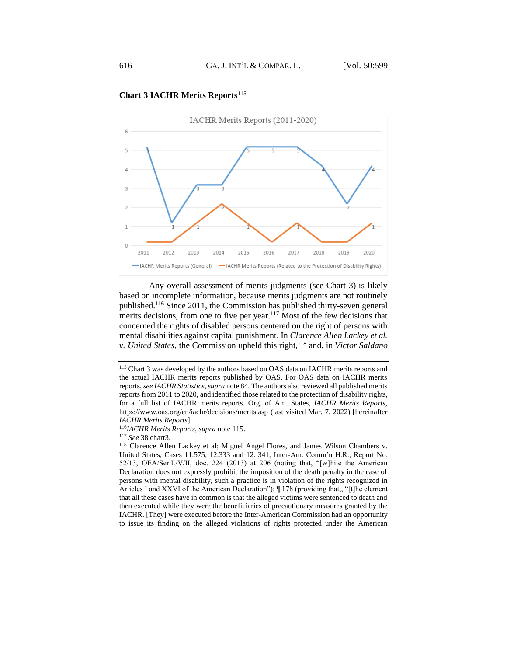

## **Chart 3 IACHR Merits Reports**<sup>115</sup>

Any overall assessment of merits judgments (see Chart 3) is likely based on incomplete information, because merits judgments are not routinely published.<sup>116</sup> Since 2011, the Commission has published thirty-seven general merits decisions, from one to five per year.<sup>117</sup> Most of the few decisions that concerned the rights of disabled persons centered on the right of persons with mental disabilities against capital punishment. In *Clarence Allen Lackey et al. v. United States, the Commission upheld this right,*<sup>118</sup> and, in *Victor Saldano* 

<sup>115</sup> Chart 3 was developed by the authors based on OAS data on IACHR merits reports and the actual IACHR merits reports published by OAS. For OAS data on IACHR merits reports, *see IACHR Statistics*, *supra* note 84. The authors also reviewed all published merits reports from 2011 to 2020, and identified those related to the protection of disability rights, for a full list of IACHR merits reports*.* Org. of Am. States, *IACHR Merits Reports,* https://www.oas.org/en/iachr/decisions/merits.asp (last visited Mar. 7, 2022) [hereinafter *IACHR Merits Reports*].

<sup>116</sup>*IACHR Merits Reports*, *supra* note 115.

<sup>117</sup> *See* 38 chart3.

<sup>118</sup> Clarence Allen Lackey et al; Miguel Angel Flores, and James Wilson Chambers v. United States, Cases 11.575, 12.333 and 12. 341, Inter-Am. Comm'n H.R., Report No. 52/13, OEA/Ser.L/V/II, doc. 224 (2013) at 206 (noting that, "[w]hile the American Declaration does not expressly prohibit the imposition of the death penalty in the case of persons with mental disability, such a practice is in violation of the rights recognized in Articles I and XXVI of the American Declaration"); ¶ 178 (providing that,, "[t]he element that all these cases have in common is that the alleged victims were sentenced to death and then executed while they were the beneficiaries of precautionary measures granted by the IACHR. [They] were executed before the Inter-American Commission had an opportunity to issue its finding on the alleged violations of rights protected under the American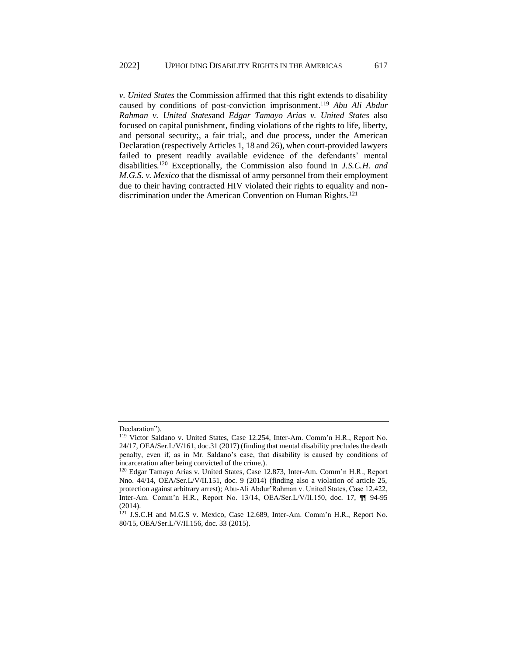*v. United States* the Commission affirmed that this right extends to disability caused by conditions of post-conviction imprisonment.<sup>119</sup> *Abu Ali Abdur Rahman v. United States*and *Edgar Tamayo Arias v. United States* also focused on capital punishment, finding violations of the rights to life, liberty, and personal security;, a fair trial;, and due process, under the American Declaration (respectively Articles 1, 18 and 26), when court-provided lawyers failed to present readily available evidence of the defendants' mental disabilities.<sup>120</sup> Exceptionally, the Commission also found in *J.S.C.H. and M.G.S. v. Mexico* that the dismissal of army personnel from their employment due to their having contracted HIV violated their rights to equality and nondiscrimination under the American Convention on Human Rights.<sup>121</sup>

Declaration").

<sup>119</sup> Victor Saldano v. United States, Case 12.254, Inter-Am. Comm'n H.R., Report No. 24/17, OEA/Ser.L/V/161, doc.31 (2017) (finding that mental disability precludes the death penalty, even if, as in Mr. Saldano's case, that disability is caused by conditions of incarceration after being convicted of the crime.).

<sup>120</sup> Edgar Tamayo Arias v. United States, Case 12.873, Inter-Am. Comm'n H.R., Report Nno. 44/14, OEA/Ser.L/V/II.151, doc. 9 (2014) (finding also a violation of article 25, protection against arbitrary arrest); Abu-Ali Abdur'Rahman v. United States, Case 12.422, Inter-Am. Comm'n H.R., Report No. 13/14, OEA/Ser.L/V/II.150, doc. 17, ¶¶ 94-95 (2014).

<sup>121</sup> J.S.C.H and M.G.S v. Mexico, Case 12.689, Inter-Am. Comm'n H.R., Report No. 80/15, OEA/Ser.L/V/II.156, doc. 33 (2015).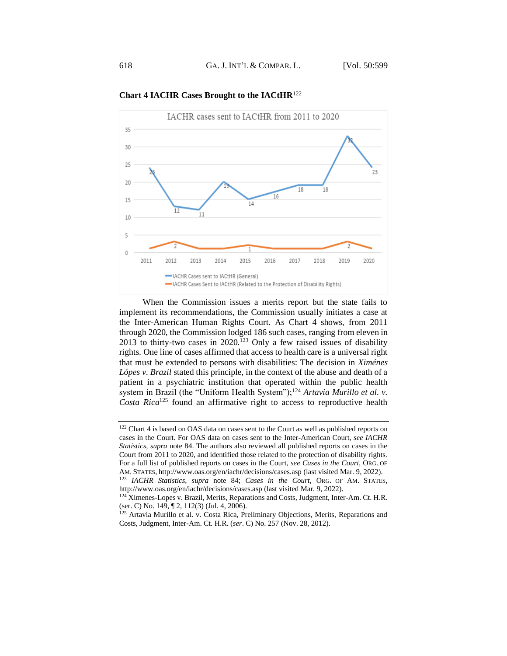

**Chart 4 IACHR Cases Brought to the IACtHR**<sup>122</sup>

When the Commission issues a merits report but the state fails to implement its recommendations, the Commission usually initiates a case at the Inter-American Human Rights Court. As Chart 4 shows, from 2011 through 2020, the Commission lodged 186 such cases, ranging from eleven in 2013 to thirty-two cases in 2020.<sup>123</sup> Only a few raised issues of disability rights. One line of cases affirmed that access to health care is a universal right that must be extended to persons with disabilities: The decision in *Ximénes Lópes v. Brazil* stated this principle, in the context of the abuse and death of a patient in a psychiatric institution that operated within the public health system in Brazil (the "Uniform Health System");<sup>124</sup> Artavia Murillo et al. v. *Costa Rica*<sup>125</sup> found an affirmative right to access to reproductive health

<sup>122</sup> Chart 4 is based on OAS data on cases sent to the Court as well as published reports on cases in the Court. For OAS data on cases sent to the Inter-American Court, *see IACHR Statistics*, *supra* note 84. The authors also reviewed all published reports on cases in the Court from 2011 to 2020, and identified those related to the protection of disability rights. For a full list of published reports on cases in the Court, *see Cases in the Court,* ORG. OF AM. STATES, http://www.oas.org/en/iachr/decisions/cases.asp (last visited Mar. 9, 2022).

<sup>123</sup> *IACHR Statistics*, *supra* note 84; *Cases in the Court,* ORG. OF AM. STATES, http://www.oas.org/en/iachr/decisions/cases.asp (last visited Mar. 9, 2022).

<sup>&</sup>lt;sup>124</sup> Ximenes-Lopes v. Brazil, Merits, Reparations and Costs, Judgment, Inter-Am. Ct. H.R. (ser. C) No. 149, ¶ 2, 112(3) (Jul. 4, 2006).

<sup>&</sup>lt;sup>125</sup> Artavia Murillo et al. v. Costa Rica, Preliminary Objections, Merits, Reparations and Costs, Judgment, Inter-Am. Ct. H.R. (*ser*. C) No. 257 (Nov. 28, 2012).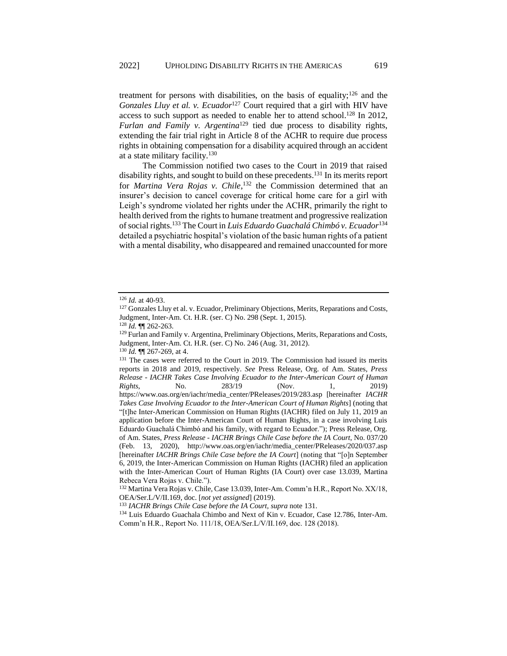treatment for persons with disabilities, on the basis of equality;<sup>126</sup> and the *Gonzales Lluy et al. v. Ecuador*<sup>127</sup> Court required that a girl with HIV have access to such support as needed to enable her to attend school.<sup>128</sup> In 2012, *Furlan and Family v. Argentina*<sup>129</sup> tied due process to disability rights, extending the fair trial right in Article 8 of the ACHR to require due process rights in obtaining compensation for a disability acquired through an accident at a state military facility.<sup>130</sup>

The Commission notified two cases to the Court in 2019 that raised disability rights, and sought to build on these precedents. <sup>131</sup> In its merits report for *Martina Vera Rojas v. Chile*, <sup>132</sup> the Commission determined that an insurer's decision to cancel coverage for critical home care for a girl with Leigh's syndrome violated her rights under the ACHR, primarily the right to health derived from the rights to humane treatment and progressive realization of social rights.<sup>133</sup> The Court in *Luis Eduardo Guachalá Chimbó v. Ecuador*<sup>134</sup> detailed a psychiatric hospital's violation of the basic human rights of a patient with a mental disability, who disappeared and remained unaccounted for more

<sup>126</sup> *Id.* at 40-93.

<sup>&</sup>lt;sup>127</sup> Gonzales Lluy et al. v. Ecuador, Preliminary Objections, Merits, Reparations and Costs, Judgment, Inter-Am. Ct. H.R. (ser. C) No. 298 (Sept. 1, 2015).

<sup>128</sup> *Id.* ¶¶ 262-263.

<sup>&</sup>lt;sup>129</sup> Furlan and Family v. Argentina, Preliminary Objections, Merits, Reparations and Costs, Judgment, Inter-Am. Ct. H.R. (ser. C) No. 246 (Aug. 31, 2012).

<sup>130</sup> *Id.* ¶¶ 267-269, at 4.

<sup>&</sup>lt;sup>131</sup> The cases were referred to the Court in 2019. The Commission had issued its merits reports in 2018 and 2019, respectively. *See* Press Release, Org. of Am. States*, Press Release - IACHR Takes Case Involving Ecuador to the Inter-American Court of Human Rights*, No. 283/19 (Nov. 1, 2019) https://www.oas.org/en/iachr/media\_center/PReleases/2019/283.asp [hereinafter *IACHR Takes Case Involving Ecuador to the Inter-American Court of Human Rights*] (noting that "[t]he Inter-American Commission on Human Rights (IACHR) filed on July 11, 2019 an application before the Inter-American Court of Human Rights, in a case involving Luis Eduardo Guachalá Chimbó and his family, with regard to Ecuador."); Press Release, Org. of Am. States, *Press Release - IACHR Brings Chile Case before the IA Court*, No. 037/20 (Feb. 13, 2020), http://www.oas.org/en/iachr/media\_center/PReleases/2020/037.asp [hereinafter *IACHR Brings Chile Case before the IA Court*] (noting that "[o]n September 6, 2019, the Inter-American Commission on Human Rights (IACHR) filed an application with the Inter-American Court of Human Rights (IA Court) over case 13.039, Martina Rebeca Vera Rojas v. Chile.").

<sup>&</sup>lt;sup>132</sup> Martina Vera Rojas v. Chile, Case 13.039, Inter-Am. Comm'n H.R., Report No. XX/18, OEA/Ser.L/V/II.169, doc. [*not yet assigned*] (2019).

<sup>133</sup> *IACHR Brings Chile Case before the IA Court, supra* note 131.

<sup>134</sup> Luis Eduardo Guachala Chimbo and Next of Kin v. Ecuador, Case 12.786, Inter-Am. Comm'n H.R., Report No. 111/18, OEA/Ser.L/V/II.169, doc. 128 (2018).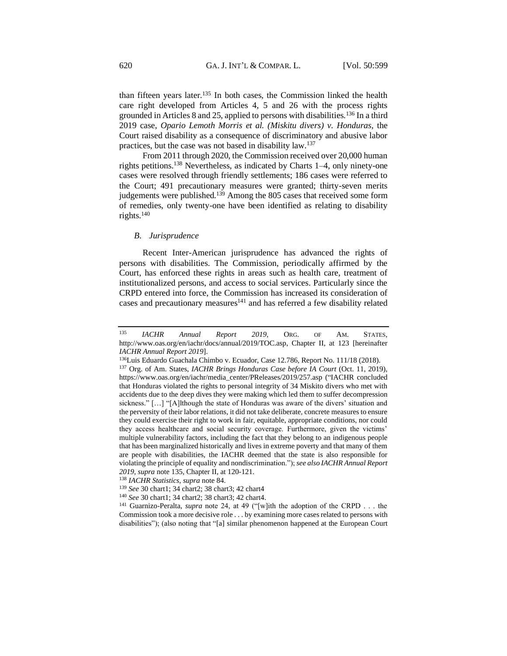than fifteen years later.<sup>135</sup> In both cases, the Commission linked the health care right developed from Articles 4, 5 and 26 with the process rights grounded in Articles 8 and 25, applied to persons with disabilities.<sup>136</sup> In a third 2019 case, *Opario Lemoth Morris et al. (Miskitu divers) v. Honduras*, the Court raised disability as a consequence of discriminatory and abusive labor practices, but the case was not based in disability law.<sup>137</sup>

From 2011 through 2020, the Commission received over 20,000 human rights petitions.<sup>138</sup> Nevertheless, as indicated by Charts 1–4, only ninety-one cases were resolved through friendly settlements; 186 cases were referred to the Court; 491 precautionary measures were granted; thirty-seven merits judgements were published.<sup>139</sup> Among the 805 cases that received some form of remedies, only twenty-one have been identified as relating to disability rights.<sup>140</sup>

#### <span id="page-21-0"></span>*B. Jurisprudence*

Recent Inter-American jurisprudence has advanced the rights of persons with disabilities. The Commission, periodically affirmed by the Court, has enforced these rights in areas such as health care, treatment of institutionalized persons, and access to social services. Particularly since the CRPD entered into force, the Commission has increased its consideration of cases and precautionary measures $141$  and has referred a few disability related

<sup>135</sup> *IACHR Annual Report 2019*, ORG. OF AM. STATES, http://www.oas.org/en/iachr/docs/annual/2019/TOC.asp, Chapter II, at 123 [hereinafter *IACHR Annual Report 2019*].

<sup>136</sup>Luis Eduardo Guachala Chimbo v. Ecuador, Case 12.786, Report No. 111/18 (2018).

<sup>137</sup> Org. of Am. States, *IACHR Brings Honduras Case before IA Court* (Oct. 11, 2019), https://www.oas.org/en/iachr/media\_center/PReleases/2019/257.asp ("IACHR concluded that Honduras violated the rights to personal integrity of 34 Miskito divers who met with accidents due to the deep dives they were making which led them to suffer decompression sickness." […] "[A]lthough the state of Honduras was aware of the divers' situation and the perversity of their labor relations, it did not take deliberate, concrete measures to ensure they could exercise their right to work in fair, equitable, appropriate conditions, nor could they access healthcare and social security coverage. Furthermore, given the victims' multiple vulnerability factors, including the fact that they belong to an indigenous people that has been marginalized historically and lives in extreme poverty and that many of them are people with disabilities, the IACHR deemed that the state is also responsible for violating the principle of equality and nondiscrimination."); *see also IACHR Annual Report 2019, supra* note 135, Chapter II, at 120-121.

<sup>138</sup> *IACHR Statistics*, *supra* note 84.

<sup>139</sup> *See* 30 chart1; 34 chart2; 38 chart3; 42 chart4

<sup>140</sup> *See* 30 chart1; 34 chart2; 38 chart3; 42 chart4.

<sup>141</sup> Guarnizo-Peralta, *supra* note 24, at 49 ("[w]ith the adoption of the CRPD . . . the Commission took a more decisive role . . . by examining more cases related to persons with disabilities"); (also noting that "[a] similar phenomenon happened at the European Court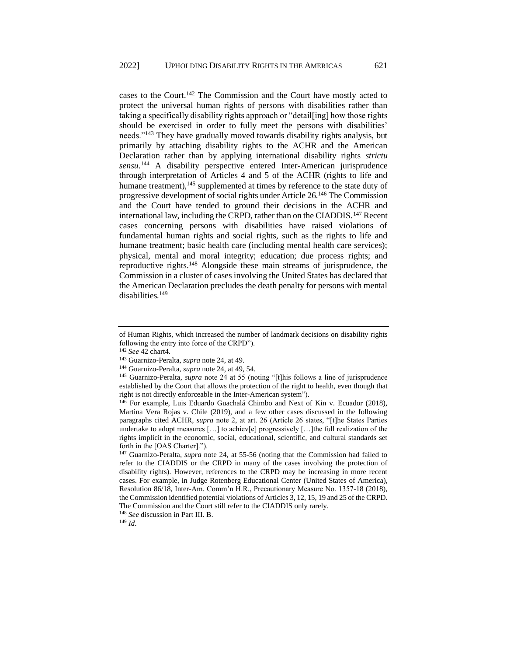cases to the Court.<sup>142</sup> The Commission and the Court have mostly acted to protect the universal human rights of persons with disabilities rather than taking a specifically disability rights approach or "detail[ing] how those rights should be exercised in order to fully meet the persons with disabilities' needs."<sup>143</sup> They have gradually moved towards disability rights analysis, but primarily by attaching disability rights to the ACHR and the American Declaration rather than by applying international disability rights *strictu sensu*. <sup>144</sup> A disability perspective entered Inter-American jurisprudence through interpretation of Articles 4 and 5 of the ACHR (rights to life and humane treatment), $145$  supplemented at times by reference to the state duty of progressive development of social rights under Article 26.<sup>146</sup> The Commission and the Court have tended to ground their decisions in the ACHR and international law, including the CRPD, rather than on the CIADDIS.<sup>147</sup> Recent cases concerning persons with disabilities have raised violations of fundamental human rights and social rights, such as the rights to life and humane treatment; basic health care (including mental health care services); physical, mental and moral integrity; education; due process rights; and reproductive rights.<sup>148</sup> Alongside these main streams of jurisprudence, the Commission in a cluster of cases involving the United States has declared that the American Declaration precludes the death penalty for persons with mental disabilities.<sup>149</sup>

of Human Rights, which increased the number of landmark decisions on disability rights following the entry into force of the CRPD").

<sup>142</sup> *See* 42 chart4.

<sup>143</sup> Guarnizo-Peralta, *supra* note 24, at 49.

<sup>144</sup> Guarnizo-Peralta, *supra* note 24, at 49, 54.

<sup>145</sup> Guarnizo-Peralta, *supra* note 24 at 55 (noting "[t]his follows a line of jurisprudence established by the Court that allows the protection of the right to health, even though that right is not directly enforceable in the Inter-American system").

<sup>146</sup> For example, Luis Eduardo Guachalá Chimbo and Next of Kin v. Ecuador (2018), Martina Vera Rojas v. Chile (2019), and a few other cases discussed in the following paragraphs cited ACHR, *supra* note 2, at art. 26 (Article 26 states, "[t]he States Parties undertake to adopt measures […] to achiev[e] progressively […]the full realization of the rights implicit in the economic, social, educational, scientific, and cultural standards set forth in the [OAS Charter].").

<sup>147</sup> Guarnizo-Peralta, *supra* note 24, at 55-56 (noting that the Commission had failed to refer to the CIADDIS or the CRPD in many of the cases involving the protection of disability rights). However, references to the CRPD may be increasing in more recent cases. For example, in Judge Rotenberg Educational Center (United States of America), Resolution 86/18, Inter-Am. Comm'n H.R., Precautionary Measure No. 1357-18 (2018), the Commission identified potential violations of Articles 3, 12, 15, 19 and 25 of the CRPD. The Commission and the Court still refer to the CIADDIS only rarely.

<sup>148</sup> *See* discussion in Part III. B.

<sup>149</sup> *Id*.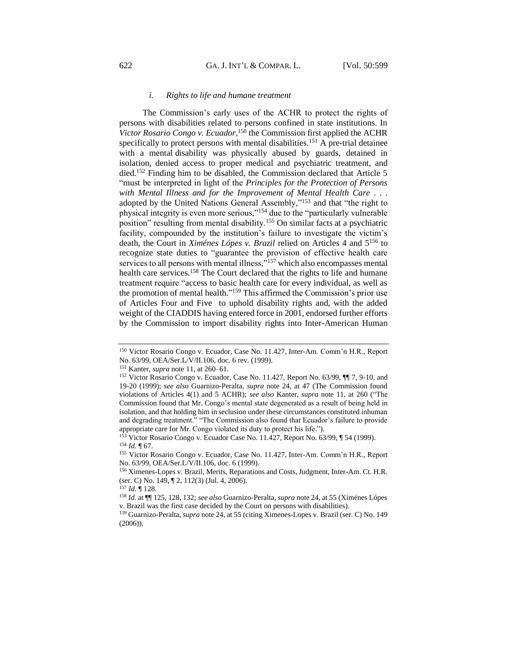#### *i. Rights to life and humane treatment*

<span id="page-23-0"></span>The Commission's early uses of the ACHR to protect the rights of persons with disabilities related to persons confined in state institutions. In *Victor Rosario Congo v. Ecuador*, <sup>150</sup> the Commission first applied the ACHR specifically to protect persons with mental disabilities.<sup>151</sup> A pre-trial detainee with a mental disability was physically abused by guards, detained in isolation, denied access to proper medical and psychiatric treatment, and died.<sup>152</sup> Finding him to be disabled, the Commission declared that Article 5 "must be interpreted in light of the *Principles for the Protection of Persons with Mental Illness and for the Improvement of Mental Health Care* . . . adopted by the United Nations General Assembly,"<sup>153</sup> and that "the right to physical integrity is even more serious,"<sup>154</sup> due to the "particularly vulnerable position" resulting from mental disability.<sup>155</sup> On similar facts at a psychiatric facility, compounded by the institution's failure to investigate the victim's death, the Court in *Ximénes Lópes v. Brazil* relied on Articles 4 and 5<sup>156</sup> to recognize state duties to "guarantee the provision of effective health care services to all persons with mental illness,"<sup>157</sup> which also encompasses mental health care services.<sup>158</sup> The Court declared that the rights to life and humane treatment require "access to basic health care for every individual, as well as the promotion of mental health." <sup>159</sup> This affirmed the Commission's prior use of Articles Four and Five to uphold disability rights and, with the added weight of the CIADDIS having entered force in 2001, endorsed further efforts by the Commission to import disability rights into Inter-American Human

<sup>150</sup> Victor Rosario Congo v. Ecuador, Case No. 11.427, Inter-Am. Comm'n H.R., Report No. 63/99, OEA/Ser.L/V/II.106, doc. 6 rev. (1999).

<sup>151</sup> Kanter, *supra* note 11, at 260–61.

<sup>152</sup> Victor Rosario Congo v. Ecuador, Case No. 11.427, Report No. 63/99,  $\P$  7, 9-10, and 19-20 (1999); *see also* Guarnizo-Peralta, *supra* note 24, at 47 (The Commission found violations of Articles 4(1) and 5 ACHR); *see also* Kanter, *supra* note 11, at 260 ("The Commission found that Mr. Congo's mental state degenerated as a result of being held in isolation, and that holding him in seclusion under these circumstances constituted inhuman and degrading treatment." "The Commission also found that Ecuador's failure to provide appropriate care for Mr. Congo violated its duty to protect his life.").

Victor Rosario Congo v. Ecuador Case No. 11.427, Report No. 63/99, ¶ 54 (1999). <sup>154</sup> *Id.* ¶ 67.

<sup>155</sup> Victor Rosario Congo v. Ecuador, Case No. 11.427, Inter-Am. Comm'n H.R., Report No. 63/99, OEA/Ser.L/V/II.106, doc. 6 (1999).

<sup>156</sup> Ximenes-Lopes v. Brazil, Merits, Reparations and Costs, Judgment, Inter-Am. Ct. H.R. (ser. C) No. 149, ¶ 2, 112(3) (Jul. 4, 2006).

<sup>157</sup> *Id.* ¶ 128.

<sup>158</sup> *Id.* at ¶¶ 125, 128, 132; *see also* Guarnizo-Peralta, *supra* note 24, at 55 (Ximénes Lópes v. Brazil was the first case decided by the Court on persons with disabilities).

<sup>159</sup> Guarnizo-Peralta, *supra* note 24, at 55 (citing Ximenes-Lopes v. Brazil (ser. C) No. 149 (2006)).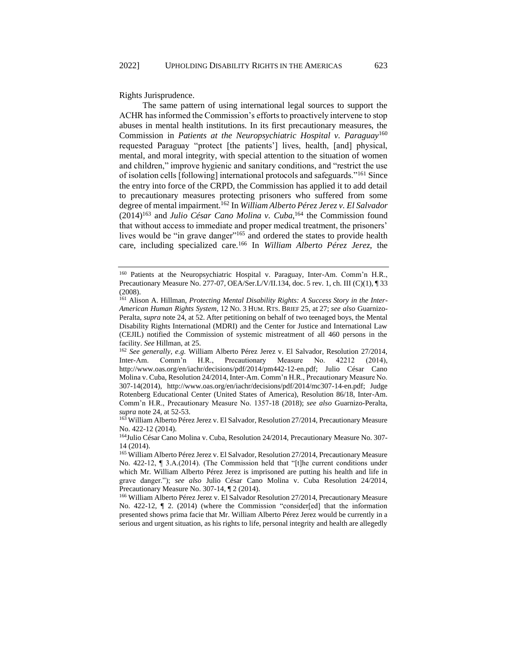Rights Jurisprudence.

The same pattern of using international legal sources to support the ACHR has informed the Commission's efforts to proactively intervene to stop abuses in mental health institutions. In its first precautionary measures, the Commission in *Patients at the Neuropsychiatric Hospital v. Paraguay*<sup>160</sup> requested Paraguay "protect [the patients'] lives, health, [and] physical, mental, and moral integrity, with special attention to the situation of women and children," improve hygienic and sanitary conditions, and "restrict the use of isolation cells [following] international protocols and safeguards."<sup>161</sup> Since the entry into force of the CRPD, the Commission has applied it to add detail to precautionary measures protecting prisoners who suffered from some degree of mental impairment.<sup>162</sup> In *William Alberto Pérez Jerez v. El Salvador* (2014)<sup>163</sup> and *Julio César Cano Molina v. Cuba*, <sup>164</sup> the Commission found that without access to immediate and proper medical treatment, the prisoners' lives would be "in grave danger"<sup>165</sup> and ordered the states to provide health care, including specialized care.<sup>166</sup> In *William Alberto Pérez Jerez,* the

<sup>160</sup> Patients at the Neuropsychiatric Hospital v. Paraguay, Inter-Am. Comm'n H.R., Precautionary Measure No. 277-07, OEA/Ser.L/V/II.134, doc. 5 rev. 1, ch. III (C)(1), ¶ 33 (2008).

<sup>&</sup>lt;sup>161</sup> Alison A. Hillman, *Protecting Mental Disability Rights: A Success Story in the Inter-American Human Rights System*, 12 NO. 3 HUM. RTS. BRIEF 25*,* at 27; *see also* Guarnizo-Peralta, *supra* note 24, at 52. After petitioning on behalf of two teenaged boys, the Mental Disability Rights International (MDRI) and the Center for Justice and International Law (CEJIL) notified the Commission of systemic mistreatment of all 460 persons in the facility. *See* Hillman, at 25.

<sup>162</sup> *See generally, e.g.* William Alberto Pérez Jerez v. El Salvador, Resolution 27/2014, Inter-Am. Comm'n H.R., Precautionary Measure No. 42212 (2014), http://www.oas.org/en/iachr/decisions/pdf/2014/pm442-12-en.pdf; Julio César Cano Molina v. Cuba, Resolution 24/2014, Inter-Am. Comm'n H.R., Precautionary Measure No. 307-14(2014), http://www.oas.org/en/iachr/decisions/pdf/2014/mc307-14-en.pdf; Judge Rotenberg Educational Center (United States of America), Resolution 86/18, Inter-Am. Comm'n H.R., Precautionary Measure No. 1357-18 (2018); *see also* Guarnizo-Peralta, *supra* note 24, at 52-53.

<sup>163</sup> William Alberto Pérez Jerez v. El Salvador, Resolution 27/2014, Precautionary Measure No. 422-12 (2014).

<sup>&</sup>lt;sup>164</sup>Julio César Cano Molina v. Cuba, Resolution 24/2014, Precautionary Measure No. 307-14 (2014).

<sup>165</sup> William Alberto Pérez Jerez v. El Salvador, Resolution 27/2014, Precautionary Measure No. 422-12, ¶ 3.A.(2014). (The Commission held that "[t]he current conditions under which Mr. William Alberto Pérez Jerez is imprisoned are putting his health and life in grave danger."); *see also* Julio César Cano Molina v. Cuba Resolution 24/2014, Precautionary Measure No. 307-14, ¶ 2 (2014).

<sup>166</sup> William Alberto Pérez Jerez v. El Salvador Resolution 27/2014, Precautionary Measure No. 422-12,  $\P$  2. (2014) (where the Commission "consider[ed] that the information presented shows prima facie that Mr. William Alberto Pérez Jerez would be currently in a serious and urgent situation, as his rights to life, personal integrity and health are allegedly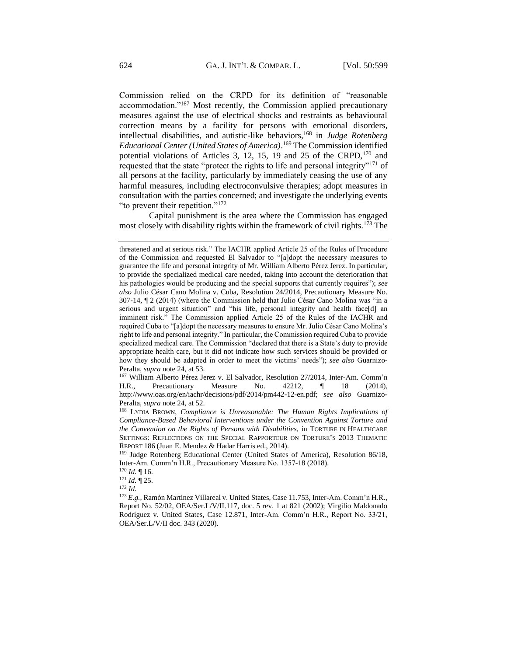Commission relied on the CRPD for its definition of "reasonable accommodation."<sup>167</sup> Most recently, the Commission applied precautionary measures against the use of electrical shocks and restraints as behavioural correction means by a facility for persons with emotional disorders, intellectual disabilities, and autistic-like behaviors,<sup>168</sup> in *Judge Rotenberg Educational Center (United States of America)*. <sup>169</sup> The Commission identified potential violations of Articles 3, 12, 15, 19 and 25 of the CRPD,<sup>170</sup> and requested that the state "protect the rights to life and personal integrity"<sup>171</sup> of all persons at the facility, particularly by immediately ceasing the use of any harmful measures, including electroconvulsive therapies; adopt measures in consultation with the parties concerned; and investigate the underlying events "to prevent their repetition."<sup>172</sup>

Capital punishment is the area where the Commission has engaged most closely with disability rights within the framework of civil rights.<sup>173</sup> The

<sup>167</sup> William Alberto Pérez Jerez v. El Salvador, Resolution 27/2014, Inter-Am. Comm'n H.R., Precautionary Measure No. 42212, ¶ 18 (2014), http://www.oas.org/en/iachr/decisions/pdf/2014/pm442-12-en.pdf; *see also* Guarnizo-Peralta, *supra* note 24, at 52.

<sup>171</sup> *Id.* ¶ 25.

<sup>172</sup> *Id.*

threatened and at serious risk." The IACHR applied Article 25 of the Rules of Procedure of the Commission and requested El Salvador to "[a]dopt the necessary measures to guarantee the life and personal integrity of Mr. William Alberto Pérez Jerez. In particular, to provide the specialized medical care needed, taking into account the deterioration that his pathologies would be producing and the special supports that currently requires"); *see also* Julio César Cano Molina v. Cuba, Resolution 24/2014, Precautionary Measure No. 307-14, ¶ 2 (2014) (where the Commission held that Julio César Cano Molina was "in a serious and urgent situation" and "his life, personal integrity and health face[d] an imminent risk." The Commission applied Article 25 of the Rules of the IACHR and required Cuba to "[a]dopt the necessary measures to ensure Mr. Julio César Cano Molina's right to life and personal integrity." In particular, the Commission required Cuba to provide specialized medical care. The Commission "declared that there is a State's duty to provide appropriate health care, but it did not indicate how such services should be provided or how they should be adapted in order to meet the victims' needs"); *see also* Guarnizo-Peralta, *supra* note 24, at 53.

<sup>168</sup> LYDIA BROWN, *Compliance is Unreasonable: The Human Rights Implications of Compliance-Based Behavioral Interventions under the Convention Against Torture and the Convention on the Rights of Persons with Disabilities,* in TORTURE IN HEALTHCARE SETTINGS: REFLECTIONS ON THE SPECIAL RAPPORTEUR ON TORTURE'S 2013 THEMATIC REPORT 186 (Juan E. Mendez & Hadar Harris ed., 2014).

<sup>169</sup> Judge Rotenberg Educational Center (United States of America), Resolution 86/18, Inter-Am. Comm'n H.R., Precautionary Measure No. 1357-18 (2018).

<sup>170</sup> *Id.* ¶ 16.

<sup>173</sup> *E.g.,* Ramón Martinez Villareal v. United States, Case 11.753, Inter-Am. Comm'n H.R., Report No. 52/02, OEA/Ser.L/V/II.117, doc. 5 rev. 1 at 821 (2002); Virgilio Maldonado Rodríguez v. United States, Case 12.871, Inter-Am. Comm'n H.R., Report No. 33/21, OEA/Ser.L/V/II doc. 343 (2020).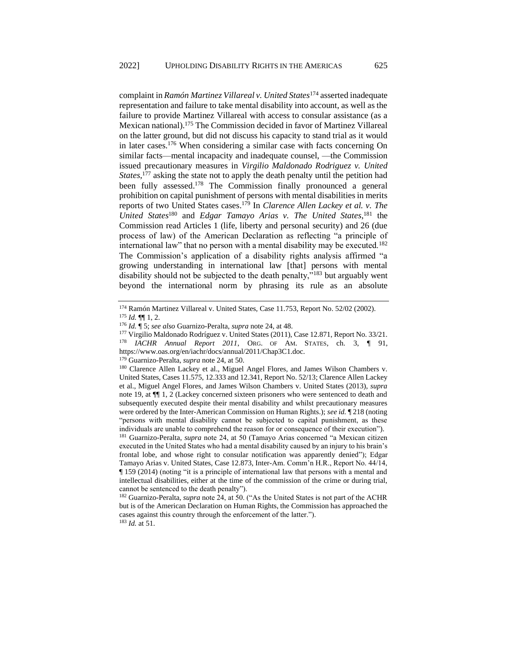complaint in *Ramón Martinez Villareal v. United States*<sup>174</sup> asserted inadequate representation and failure to take mental disability into account, as well as the failure to provide Martinez Villareal with access to consular assistance (as a Mexican national). <sup>175</sup> The Commission decided in favor of Martinez Villareal on the latter ground, but did not discuss his capacity to stand trial as it would in later cases.<sup>176</sup> When considering a similar case with facts concerning On similar facts—mental incapacity and inadequate counsel, —the Commission issued precautionary measures in *Virgilio Maldonado Rodriguez v. United States*, <sup>177</sup> asking the state not to apply the death penalty until the petition had been fully assessed.<sup>178</sup> The Commission finally pronounced a general prohibition on capital punishment of persons with mental disabilities in merits reports of two United States cases. <sup>179</sup> In *Clarence Allen Lackey et al. v. The United States*<sup>180</sup> and *Edgar Tamayo Arias v. The United States*, <sup>181</sup> the Commission read Articles 1 (life, liberty and personal security) and 26 (due process of law) of the American Declaration as reflecting "a principle of international law" that no person with a mental disability may be executed.<sup>182</sup> The Commission's application of a disability rights analysis affirmed "a growing understanding in international law [that] persons with mental disability should not be subjected to the death penalty,"<sup>183</sup> but arguably went beyond the international norm by phrasing its rule as an absolute

<sup>179</sup> Guarnizo-Peralta, *supra* note 24, at 50.

<sup>181</sup> Guarnizo-Peralta, *supra* note 24, at 50 (Tamayo Arias concerned "a Mexican citizen executed in the United States who had a mental disability caused by an injury to his brain's frontal lobe, and whose right to consular notification was apparently denied"); Edgar Tamayo Arias v. United States, Case 12.873, Inter-Am. Comm'n H.R., Report No. 44/14, ¶ 159 (2014) (noting "it is a principle of international law that persons with a mental and intellectual disabilities, either at the time of the commission of the crime or during trial, cannot be sentenced to the death penalty").

<sup>182</sup> Guarnizo-Peralta, *supra* note 24, at 50. ("As the United States is not part of the ACHR but is of the American Declaration on Human Rights, the Commission has approached the cases against this country through the enforcement of the latter."). <sup>183</sup> *Id.* at 51.

<sup>174</sup> Ramón Martinez Villareal v. United States, Case 11.753, Report No. 52/02 (2002).  $175$  *Id.* **¶** 1, 2.

<sup>176</sup> *Id.* ¶ 5; *see also* Guarnizo-Peralta, *supra* note 24, at 48.

<sup>177</sup> Virgilio Maldonado Rodríguez v. United States (2011), Case 12.871, Report No. 33/21. <sup>178</sup> *IACHR Annual Report 2011*, ORG. OF AM. STATES, ch. 3, ¶ 91, https://www.oas.org/en/iachr/docs/annual/2011/Chap3C1.doc.

<sup>180</sup> Clarence Allen Lackey et al., Miguel Angel Flores, and James Wilson Chambers v. United States, Cases 11.575, 12.333 and 12.341, Report No. 52/13; Clarence Allen Lackey et al., Miguel Angel Flores, and James Wilson Chambers v. United States (2013), *supra* note 19, at ¶¶ 1, 2 (Lackey concerned sixteen prisoners who were sentenced to death and subsequently executed despite their mental disability and whilst precautionary measures were ordered by the Inter-American Commission on Human Rights.); *see id.* ¶ 218 (noting "persons with mental disability cannot be subjected to capital punishment, as these individuals are unable to comprehend the reason for or consequence of their execution").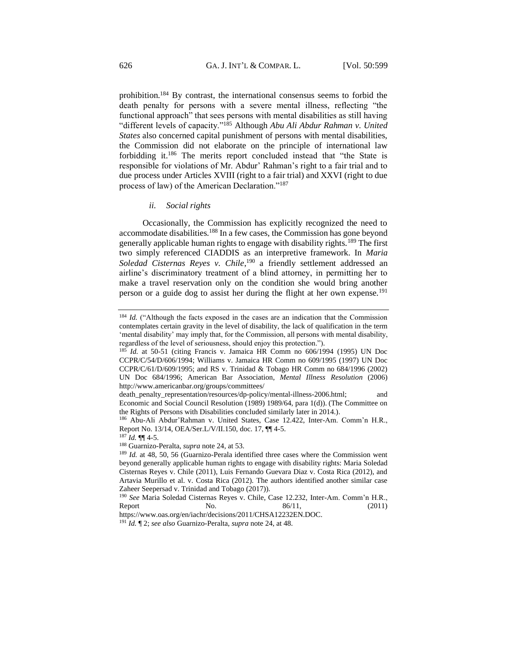prohibition.<sup>184</sup> By contrast, the international consensus seems to forbid the death penalty for persons with a severe mental illness, reflecting "the functional approach" that sees persons with mental disabilities as still having "different levels of capacity."<sup>185</sup> Although *Abu Ali Abdur Rahman v. United States* also concerned capital punishment of persons with mental disabilities, the Commission did not elaborate on the principle of international law forbidding it.<sup>186</sup> The merits report concluded instead that "the State is responsible for violations of Mr. Abdur' Rahman's right to a fair trial and to due process under Articles XVIII (right to a fair trial) and XXVI (right to due process of law) of the American Declaration."<sup>187</sup>

#### *ii. Social rights*

<span id="page-27-0"></span>Occasionally, the Commission has explicitly recognized the need to accommodate disabilities.<sup>188</sup> In a few cases, the Commission has gone beyond generally applicable human rights to engage with disability rights.<sup>189</sup> The first two simply referenced CIADDIS as an interpretive framework. In *Maria Soledad Cisternas Reyes v. Chile*, <sup>190</sup> a friendly settlement addressed an airline's discriminatory treatment of a blind attorney, in permitting her to make a travel reservation only on the condition she would bring another person or a guide dog to assist her during the flight at her own expense.<sup>191</sup>

<sup>184</sup> *Id.* ("Although the facts exposed in the cases are an indication that the Commission contemplates certain gravity in the level of disability, the lack of qualification in the term 'mental disability' may imply that, for the Commission, all persons with mental disability, regardless of the level of seriousness, should enjoy this protection.").

<sup>&</sup>lt;sup>185</sup> *Id.* at 50-51 (citing Francis v. Jamaica HR Comm no 606/1994 (1995) UN Doc CCPR/C/54/D/606/1994; Williams v. Jamaica HR Comm no 609/1995 (1997) UN Doc CCPR/C/61/D/609/1995; and RS v. Trinidad & Tobago HR Comm no 684/1996 (2002) UN Doc 684/1996; American Bar Association, *Mental Illness Resolution* (2006) http://www.americanbar.org/groups/committees/

death\_penalty\_representation/resources/dp-policy/mental-illness-2006.html; and Economic and Social Council Resolution (1989) 1989/64, para 1(d)). (The Committee on the Rights of Persons with Disabilities concluded similarly later in 2014.).

<sup>186</sup> Abu-Ali Abdur'Rahman v. United States, Case 12.422, Inter-Am. Comm'n H.R., Report No. 13/14, OEA/Ser.L/V/II.150, doc. 17, ¶¶ 4-5.

 $187$  *Id.*  $\P\P$  4-5.

<sup>188</sup> Guarnizo-Peralta, *supra* note 24*,* at 53.

<sup>&</sup>lt;sup>189</sup> *Id.* at 48, 50, 56 (Guarnizo-Perala identified three cases where the Commission went beyond generally applicable human rights to engage with disability rights: Maria Soledad Cisternas Reyes v. Chile (2011), Luis Fernando Guevara Diaz v. Costa Rica (2012), and Artavia Murillo et al. v. Costa Rica (2012). The authors identified another similar case Zaheer Seepersad v. Trinidad and Tobago (2017)).

<sup>190</sup> *See* Maria Soledad Cisternas Reyes v. Chile, Case 12.232, Inter-Am. Comm'n H.R., Report  $\qquad \qquad$  No.  $\qquad \qquad 86/11, \qquad \qquad (2011)$ 

https://www.oas.org/en/iachr/decisions/2011/CHSA12232EN.DOC. <sup>191</sup> *Id.* ¶ 2; *see also* Guarnizo-Peralta, *supra* note 24, at 48.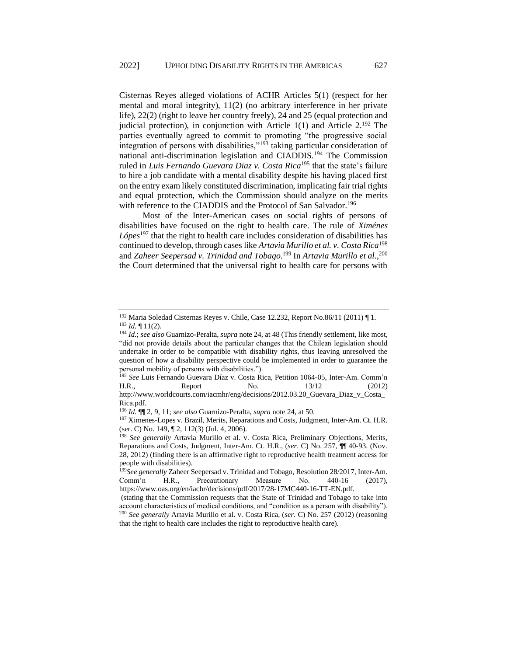Cisternas Reyes alleged violations of ACHR Articles 5(1) (respect for her mental and moral integrity), 11(2) (no arbitrary interference in her private life), 22(2) (right to leave her country freely), 24 and 25 (equal protection and judicial protection), in conjunction with Article  $1(1)$  and Article  $2^{192}$  The parties eventually agreed to commit to promoting "the progressive social integration of persons with disabilities,"<sup>193</sup> taking particular consideration of national anti-discrimination legislation and CIADDIS.<sup>194</sup> The Commission ruled in *Luis Fernando Guevara Diaz v. Costa Rica*<sup>195</sup> that the state's failure to hire a job candidate with a mental disability despite his having placed first on the entry exam likely constituted discrimination, implicating fair trial rights and equal protection, which the Commission should analyze on the merits with reference to the CIADDIS and the Protocol of San Salvador.<sup>196</sup>

Most of the Inter-American cases on social rights of persons of disabilities have focused on the right to health care. The rule of *Ximénes Lópes*<sup>197</sup> that the right to health care includes consideration of disabilities has continued to develop, through cases like *Artavia Murillo et al. v. Costa Rica*<sup>198</sup> and *Zaheer Seepersad v. Trinidad and Tobago*. <sup>199</sup> In *Artavia Murillo et al.*, 200 the Court determined that the universal right to health care for persons with

<sup>192</sup> Maria Soledad Cisternas Reyes v. Chile, Case 12.232, Report No.86/11 (2011) ¶ 1. <sup>193</sup> *Id.* ¶ 11(2).

<sup>194</sup> *Id.*; *see also* Guarnizo-Peralta, *supra* note 24, at 48 (This friendly settlement, like most, "did not provide details about the particular changes that the Chilean legislation should undertake in order to be compatible with disability rights, thus leaving unresolved the question of how a disability perspective could be implemented in order to guarantee the personal mobility of persons with disabilities.").

<sup>195</sup> *See* Luis Fernando Guevara Díaz v. Costa Rica, Petition 1064-05, Inter-Am. Comm'n H.R., Report No. 13/12 (2012) http://www.worldcourts.com/iacmhr/eng/decisions/2012.03.20\_Guevara\_Diaz\_v\_Costa\_ Rica.pdf.

<sup>196</sup> *Id.* ¶¶ 2, 9, 11; *see also* Guarnizo-Peralta, *supra* note 24, at 50.

<sup>&</sup>lt;sup>197</sup> Ximenes-Lopes v. Brazil, Merits, Reparations and Costs, Judgment, Inter-Am. Ct. H.R. (ser. C) No. 149, ¶ 2, 112(3) (Jul. 4, 2006).

<sup>198</sup> *See generally* Artavia Murillo et al. v. Costa Rica, Preliminary Objections, Merits, Reparations and Costs, Judgment, Inter-Am. Ct. H.R., (*ser*. C) No. 257, ¶¶ 40-93. (Nov. 28, 2012) (finding there is an affirmative right to reproductive health treatment access for people with disabilities).

<sup>199</sup>*See generally* Zaheer Seepersad v. Trinidad and Tobago, Resolution 28/2017, Inter-Am. Comm'n H.R., Precautionary Measure No. 440-16 (2017), https://www.oas.org/en/iachr/decisions/pdf/2017/28-17MC440-16-TT-EN.pdf.

<sup>(</sup>stating that the Commission requests that the State of Trinidad and Tobago to take into account characteristics of medical conditions, and "condition as a person with disability"). <sup>200</sup> *See generally* Artavia Murillo et al. v. Costa Rica, (*ser*. C) No. 257 (2012) (reasoning that the right to health care includes the right to reproductive health care).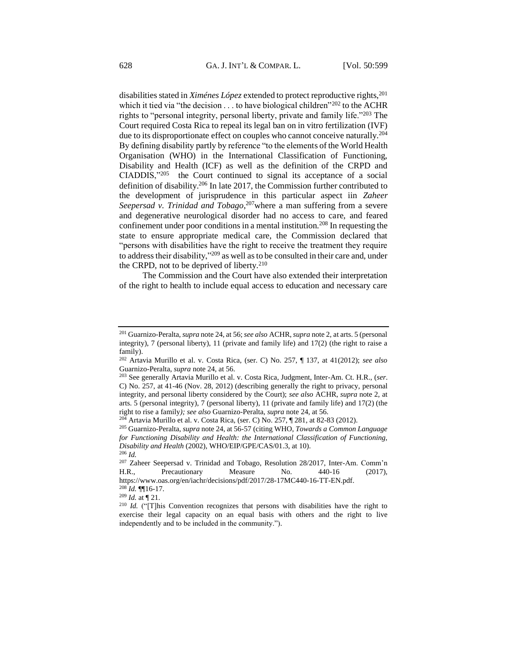disabilities stated in *Ximénes López* extended to protect reproductive rights,<sup>201</sup> which it tied via "the decision  $\dots$  to have biological children"<sup>202</sup> to the ACHR rights to "personal integrity, personal liberty, private and family life."<sup>203</sup> The Court required Costa Rica to repeal its legal ban on in vitro fertilization (IVF) due to its disproportionate effect on couples who cannot conceive naturally.<sup>204</sup> By defining disability partly by reference "to the elements of the World Health Organisation (WHO) in the International Classification of Functioning, Disability and Health (ICF) as well as the definition of the CRPD and CIADDIS,"<sup>205</sup> the Court continued to signal its acceptance of a social definition of disability.<sup>206</sup> In late 2017, the Commission further contributed to the development of jurisprudence in this particular aspect iin *Zaheer Seepersad v. Trinidad and Tobago*, <sup>207</sup>where a man suffering from a severe and degenerative neurological disorder had no access to care, and feared confinement under poor conditions in a mental institution.<sup>208</sup> In requesting the state to ensure appropriate medical care, the Commission declared that "persons with disabilities have the right to receive the treatment they require to address their disability,"<sup>209</sup> as well as to be consulted in their care and, under the CRPD, not to be deprived of liberty.<sup>210</sup>

The Commission and the Court have also extended their interpretation of the right to health to include equal access to education and necessary care

<sup>201</sup> Guarnizo-Peralta, *supra* note 24, at 56; *see also* ACHR, *supra* note 2, at arts. 5 (personal integrity),  $7$  (personal liberty),  $11$  (private and family life) and  $17(2)$  (the right to raise a family).

<sup>202</sup> Artavia Murillo et al. v. Costa Rica, (ser. C) No. 257, ¶ 137, at 41(2012); *see also* Guarnizo-Peralta, *supra* note 24, at 56.

<sup>203</sup> See generally Artavia Murillo et al. v. Costa Rica, Judgment, Inter-Am. Ct. H.R., (*ser*. C) No. 257, at 41-46 (Nov. 28, 2012) (describing generally the right to privacy, personal integrity, and personal liberty considered by the Court); *see also* ACHR, *supra* note 2, at arts. 5 (personal integrity), 7 (personal liberty), 11 (private and family life) and 17(2) (the right to rise a family*); see also* Guarnizo-Peralta, *supra* note 24, at 56.

<sup>204</sup> Artavia Murillo et al. v. Costa Rica, (ser. C) No. 257, ¶ 281, at 82-83 (2012).

<sup>205</sup> Guarnizo-Peralta, *supra* note 24, at 56-57 (citing WHO, *Towards a Common Language for Functioning Disability and Health: the International Classification of Functioning, Disability and Health* (2002), WHO/EIP/GPE/CAS/01.3, at 10). <sup>206</sup> *Id.*

<sup>207</sup> Zaheer Seepersad v. Trinidad and Tobago, Resolution 28/2017, Inter-Am. Comm'n H.R., Precautionary Measure No. 440-16 (2017), https://www.oas.org/en/iachr/decisions/pdf/2017/28-17MC440-16-TT-EN.pdf. <sup>208</sup> *Id.* ¶¶16-17.

<sup>209</sup> *Id.* at ¶ 21.

<sup>&</sup>lt;sup>210</sup> *Id.* ("[T]his Convention recognizes that persons with disabilities have the right to exercise their legal capacity on an equal basis with others and the right to live independently and to be included in the community.").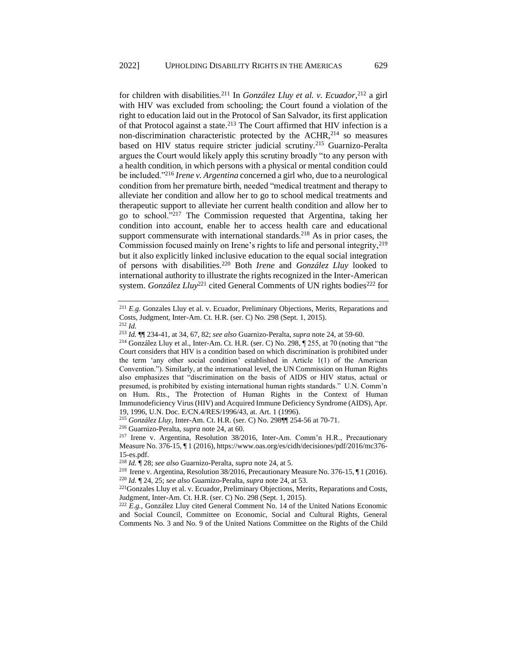for children with disabilities.<sup>211</sup> In *González Lluy et al. v. Ecuador*, <sup>212</sup> a girl with HIV was excluded from schooling; the Court found a violation of the right to education laid out in the Protocol of San Salvador, its first application of that Protocol against a state.<sup>213</sup> The Court affirmed that HIV infection is a non-discrimination characteristic protected by the ACHR,<sup>214</sup> so measures based on HIV status require stricter judicial scrutiny.<sup>215</sup> Guarnizo-Peralta argues the Court would likely apply this scrutiny broadly "to any person with a health condition, in which persons with a physical or mental condition could be included."<sup>216</sup> *Irene v. Argentina* concerned a girl who, due to a neurological condition from her premature birth, needed "medical treatment and therapy to alleviate her condition and allow her to go to school medical treatments and therapeutic support to alleviate her current health condition and allow her to go to school."<sup>217</sup> The Commission requested that Argentina, taking her condition into account, enable her to access health care and educational support commensurate with international standards.<sup>218</sup> As in prior cases, the Commission focused mainly on Irene's rights to life and personal integrity,<sup>219</sup> but it also explicitly linked inclusive education to the equal social integration of persons with disabilities.<sup>220</sup> Both *Irene* and *González Lluy* looked to international authority to illustrate the rights recognized in the Inter-American system. *González Lluy*<sup>221</sup> cited General Comments of UN rights bodies<sup>222</sup> for

<sup>211</sup> *E.g.* Gonzales Lluy et al. v. Ecuador, Preliminary Objections, Merits, Reparations and Costs, Judgment, Inter-Am. Ct. H.R. (ser. C) No. 298 (Sept. 1, 2015). <sup>212</sup> *Id.*

<sup>213</sup> *Id.* ¶¶ 234-41, at 34, 67, 82; *see also* Guarnizo-Peralta, *supra* note 24, at 59-60.

<sup>&</sup>lt;sup>214</sup> González Lluy et al., Inter-Am. Ct. H.R. (ser. C) No. 298,  $\sqrt{255}$ , at 70 (noting that "the Court considers that HIV is a condition based on which discrimination is prohibited under the term 'any other social condition' established in Article 1(1) of the American Convention."). Similarly, at the international level, the UN Commission on Human Rights also emphasizes that "discrimination on the basis of AIDS or HIV status, actual or presumed, is prohibited by existing international human rights standards." U.N. Comm'n on Hum. Rts., The Protection of Human Rights in the Context of Human Immunodeficiency Virus (HIV) and Acquired Immune Deficiency Syndrome (AIDS), Apr. 19, 1996, U.N. Doc. E/CN.4/RES/1996/43, at. Art. 1 (1996).

<sup>215</sup> *González Lluy*, Inter-Am. Ct. H.R. (ser. C) No. 298¶¶ 254-56 at 70-71.

<sup>216</sup> Guarnizo-Peralta, *supra* note 24, at 60.

<sup>217</sup> Irene v. Argentina, Resolution 38/2016, Inter-Am. Comm'n H.R., Precautionary Measure No. 376-15, ¶ 1 (2016), https://www.oas.org/es/cidh/decisiones/pdf/2016/mc376- 15-es.pdf.

<sup>218</sup> *Id.* ¶ 28; *see also* Guarnizo-Peralta, *supra* note 24, at 5.

<sup>219</sup> Irene v. Argentina, Resolution 38/2016, Precautionary Measure No. 376-15, ¶ 1 (2016). <sup>220</sup> *Id.* ¶ 24, 25; *see also* Guarnizo-Peralta, *supra* note 24, at 53.

<sup>&</sup>lt;sup>221</sup>Gonzales Lluy et al. v. Ecuador, Preliminary Objections, Merits, Reparations and Costs, Judgment, Inter-Am. Ct. H.R. (ser. C) No. 298 (Sept. 1, 2015).

<sup>222</sup> *E.g.,* González Lluy cited General Comment No. 14 of the United Nations Economic and Social Council, Committee on Economic, Social and Cultural Rights, General Comments No. 3 and No. 9 of the United Nations Committee on the Rights of the Child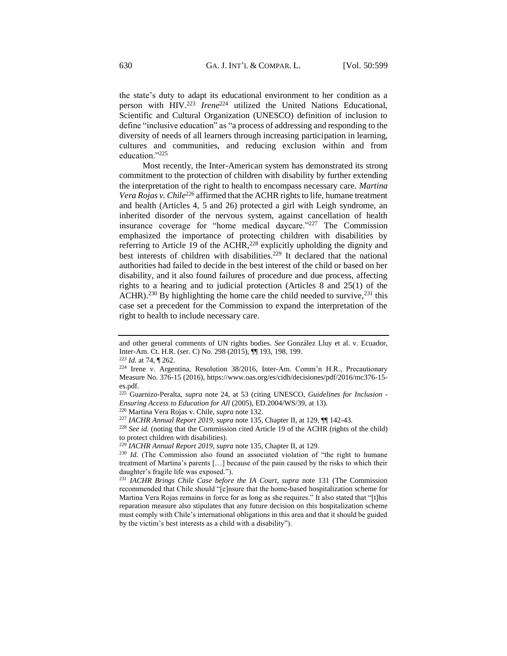the state's duty to adapt its educational environment to her condition as a person with HIV.<sup>223</sup> *Irene*<sup>224</sup> utilized the United Nations Educational, Scientific and Cultural Organization (UNESCO) definition of inclusion to define "inclusive education" as "a process of addressing and responding to the diversity of needs of all learners through increasing participation in learning, cultures and communities, and reducing exclusion within and from education."<sup>225</sup>

Most recently, the Inter-American system has demonstrated its strong commitment to the protection of children with disability by further extending the interpretation of the right to health to encompass necessary care. *Martina Vera Rojas v. Chile*<sup>226</sup> affirmed that the ACHR rights to life, humane treatment and health (Articles 4, 5 and 26) protected a girl with Leigh syndrome, an inherited disorder of the nervous system, against cancellation of health insurance coverage for "home medical daycare."<sup>227</sup> The Commission emphasized the importance of protecting children with disabilities by referring to Article 19 of the ACHR,<sup>228</sup> explicitly upholding the dignity and best interests of children with disabilities.<sup>229</sup> It declared that the national authorities had failed to decide in the best interest of the child or based on her disability, and it also found failures of procedure and due process, affecting rights to a hearing and to judicial protection (Articles 8 and 25(1) of the ACHR).<sup>230</sup> By highlighting the home care the child needed to survive,<sup>231</sup> this case set a precedent for the Commission to expand the interpretation of the right to health to include necessary care.

and other general comments of UN rights bodies. *See* González Lluy et al. v. Ecuador, Inter-Am. Ct. H.R. (ser. C) No. 298 (2015), ¶¶ 193, 198, 199.

<sup>223</sup> *Id.* at 74, ¶ 262.

<sup>224</sup> Irene v. Argentina, Resolution 38/2016, Inter-Am. Comm'n H.R., Precautionary Measure No. 376-15 (2016), https://www.oas.org/es/cidh/decisiones/pdf/2016/mc376-15 es.pdf.

<sup>225</sup> Guarnizo-Peralta, *supra* note 24, at 53 (citing UNESCO, *Guidelines for Inclusion - Ensuring Access to Education for All* (2005), ED.2004/WS/39, at 13).

<sup>226</sup> Martina Vera Rojas v. Chile, *supra* note 132.

<sup>227</sup> *IACHR Annual Report 2019, supra* note 135, Chapter II, at 129, ¶¶ 142-43.

<sup>228</sup> *See id.* (noting that the Commission cited Article 19 of the ACHR (rights of the child) to protect children with disabilities).

<sup>229</sup> *IACHR Annual Report 2019, supra* note 135, Chapter II, at 129.

<sup>230</sup> *Id.* (The Commission also found an associated violation of "the right to humane treatment of Martina's parents […] because of the pain caused by the risks to which their daughter's fragile life was exposed.").

<sup>231</sup> *IACHR Brings Chile Case before the IA Court, supra* note 131 (The Commission recommended that Chile should "[e]nsure that the home-based hospitalization scheme for Martina Vera Rojas remains in force for as long as she requires." It also stated that "[t]his reparation measure also stipulates that any future decision on this hospitalization scheme must comply with Chile's international obligations in this area and that it should be guided by the victim's best interests as a child with a disability").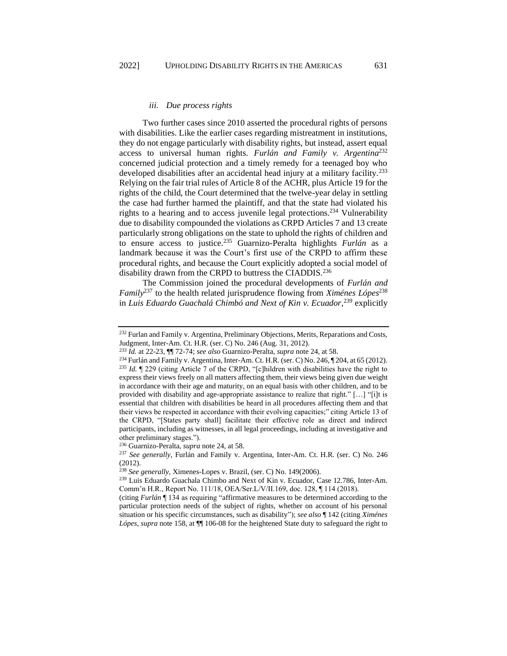#### *iii. Due process rights*

<span id="page-32-0"></span>Two further cases since 2010 asserted the procedural rights of persons with disabilities. Like the earlier cases regarding mistreatment in institutions, they do not engage particularly with disability rights, but instead, assert equal access to universal human rights. *Furlán and Family v. Argentina*<sup>232</sup> concerned judicial protection and a timely remedy for a teenaged boy who developed disabilities after an accidental head injury at a military facility.<sup>233</sup> Relying on the fair trial rules of Article 8 of the ACHR, plus Article 19 for the rights of the child, the Court determined that the twelve-year delay in settling the case had further harmed the plaintiff, and that the state had violated his rights to a hearing and to access juvenile legal protections.<sup>234</sup> Vulnerability due to disability compounded the violations as CRPD Articles 7 and 13 create particularly strong obligations on the state to uphold the rights of children and to ensure access to justice.<sup>235</sup> Guarnizo-Peralta highlights *Furlán* as a landmark because it was the Court's first use of the CRPD to affirm these procedural rights, and because the Court explicitly adopted a social model of disability drawn from the CRPD to buttress the CIADDIS.<sup>236</sup>

The Commission joined the procedural developments of *Furlán and Family*<sup>237</sup> to the health related jurisprudence flowing from *Ximénes Lópes*<sup>238</sup> in *Luis Eduardo Guachalá Chimbó and Next of Kin v. Ecuador*, <sup>239</sup> explicitly

<sup>&</sup>lt;sup>232</sup> Furlan and Family v. Argentina, Preliminary Objections, Merits, Reparations and Costs, Judgment, Inter-Am. Ct. H.R. (ser. C) No. 246 (Aug. 31, 2012).

<sup>233</sup> *Id.* at 22-23, ¶¶ 72-74; *see also* Guarnizo-Peralta, *supra* note 24, at 58.

<sup>&</sup>lt;sup>234</sup> Furlán and Family v. Argentina, Inter-Am. Ct. H.R. (ser. C) No. 246, ¶ 204, at 65 (2012). <sup>235</sup> *Id.* ¶ 229 (citing Article 7 of the CRPD, "[c]hildren with disabilities have the right to express their views freely on all matters affecting them, their views being given due weight in accordance with their age and maturity, on an equal basis with other children, and to be provided with disability and age-appropriate assistance to realize that right." […] "[i]t is essential that children with disabilities be heard in all procedures affecting them and that their views be respected in accordance with their evolving capacities;" citing Article 13 of the CRPD, "[States party shall] facilitate their effective role as direct and indirect participants, including as witnesses, in all legal proceedings, including at investigative and other preliminary stages.").

<sup>236</sup> Guarnizo-Peralta, *supra* note 24, at 58.

<sup>237</sup> *See generally,* Furlán and Family v. Argentina, Inter-Am. Ct. H.R. (ser. C) No. 246 (2012).

<sup>238</sup> *See generally,* Ximenes-Lopes v. Brazil, (ser. C) No. 149(2006).

<sup>239</sup> Luis Eduardo Guachala Chimbo and Next of Kin v. Ecuador, Case 12.786, Inter-Am. Comm'n H.R., Report No. 111/18, OEA/Ser.L/V/II.169, doc. 128, ¶ 114 (2018).

<sup>(</sup>citing *Furlán* ¶ 134 as requiring "affirmative measures to be determined according to the particular protection needs of the subject of rights, whether on account of his personal situation or his specific circumstances, such as disability"); *see also* ¶ 142 (citing *Ximénes Lópes*, *supra* note 158, at ¶¶ 106-08 for the heightened State duty to safeguard the right to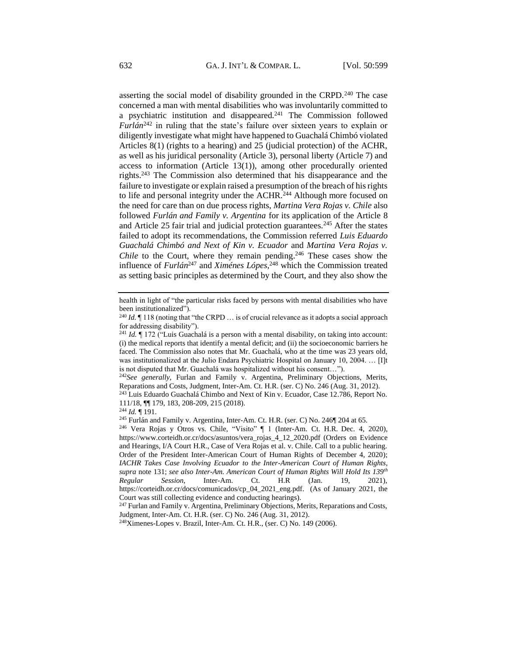asserting the social model of disability grounded in the CRPD. $^{240}$  The case concerned a man with mental disabilities who was involuntarily committed to a psychiatric institution and disappeared.<sup>241</sup> The Commission followed *Furlán*<sup>242</sup> in ruling that the state's failure over sixteen years to explain or diligently investigate what might have happened to Guachalá Chimbó violated Articles 8(1) (rights to a hearing) and 25 (judicial protection) of the ACHR, as well as his juridical personality (Article 3), personal liberty (Article 7) and access to information (Article 13(1)), among other procedurally oriented rights. <sup>243</sup> The Commission also determined that his disappearance and the failure to investigate or explain raised a presumption of the breach of his rights to life and personal integrity under the ACHR.<sup>244</sup> Although more focused on the need for care than on due process rights, *Martina Vera Rojas v. Chile* also followed *Furlán and Family v. Argentina* for its application of the Article 8 and Article 25 fair trial and judicial protection guarantees.<sup>245</sup> After the states failed to adopt its recommendations, the Commission referred *Luis Eduardo Guachalá Chimbó and Next of Kin v. Ecuador* and *Martina Vera Rojas v. Chile* to the Court, where they remain pending. <sup>246</sup> These cases show the influence of *Furlán*<sup>247</sup> and *Ximénes Lópes*, <sup>248</sup> which the Commission treated as setting basic principles as determined by the Court, and they also show the

health in light of "the particular risks faced by persons with mental disabilities who have been institutionalized").

<sup>&</sup>lt;sup>240</sup> *Id.* If 118 (noting that "the CRPD ... is of crucial relevance as it adopts a social approach for addressing disability").

<sup>&</sup>lt;sup>241</sup> *Id.*  $\parallel$  172 ("Luis Guachalá is a person with a mental disability, on taking into account: (i) the medical reports that identify a mental deficit; and (ii) the socioeconomic barriers he faced. The Commission also notes that Mr. Guachalá, who at the time was 23 years old, was institutionalized at the Julio Endara Psychiatric Hospital on January 10, 2004. … [I]t is not disputed that Mr. Guachalá was hospitalized without his consent…").

<sup>&</sup>lt;sup>242</sup>See generally, Furlan and Family v. Argentina, Preliminary Objections, Merits, Reparations and Costs, Judgment, Inter-Am. Ct. H.R. (ser. C) No. 246 (Aug. 31, 2012).

<sup>243</sup> Luis Eduardo Guachalá Chimbo and Next of Kin v. Ecuador, Case 12.786, Report No. 111/18, ¶¶ 179, 183, 208-209, 215 (2018).

<sup>244</sup> *Id.* ¶ 191.

<sup>245</sup> Furlán and Family v. Argentina, Inter-Am. Ct. H.R. (ser. C) No. 246¶ 204 at 65.

<sup>246</sup> Vera Rojas y Otros vs. Chile, "Visito" ¶ 1 (Inter-Am. Ct. H.R. Dec. 4, 2020), https://www.corteidh.or.cr/docs/asuntos/vera\_rojas\_4\_12\_2020.pdf (Orders on Evidence and Hearings, I/A Court H.R., Case of Vera Rojas et al. v. Chile. Call to a public hearing. Order of the President Inter-American Court of Human Rights of December 4, 2020); *IACHR Takes Case Involving Ecuador to the Inter-American Court of Human Rights*, *supra* note 131; *see also Inter-Am. American Court of Human Rights Will Hold Its 139th Regular Session,* Inter-Am. Ct. H.R (Jan. 19, 2021), https://corteidh.or.cr/docs/comunicados/cp\_04\_2021\_eng.pdf. (As of January 2021, the Court was still collecting evidence and conducting hearings).

<sup>&</sup>lt;sup>247</sup> Furlan and Family v. Argentina, Preliminary Objections, Merits, Reparations and Costs, Judgment, Inter-Am. Ct. H.R. (ser. C) No. 246 (Aug. 31, 2012).

<sup>248</sup>Ximenes-Lopes v. Brazil, Inter-Am. Ct. H.R., (ser. C) No. 149 (2006).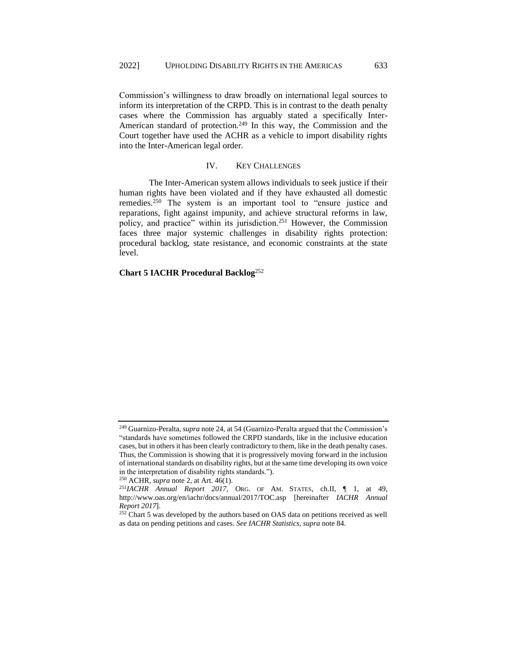Commission's willingness to draw broadly on international legal sources to inform its interpretation of the CRPD. This is in contrast to the death penalty cases where the Commission has arguably stated a specifically Inter-American standard of protection.<sup>249</sup> In this way, the Commission and the Court together have used the ACHR as a vehicle to import disability rights into the Inter-American legal order.

#### IV. KEY CHALLENGES

<span id="page-34-0"></span>The Inter-American system allows individuals to seek justice if their human rights have been violated and if they have exhausted all domestic remedies.<sup>250</sup> The system is an important tool to "ensure justice and reparations, fight against impunity, and achieve structural reforms in law, policy, and practice" within its jurisdiction.<sup>251</sup> However, the Commission faces three major systemic challenges in disability rights protection: procedural backlog, state resistance, and economic constraints at the state level.

## **Chart 5 IACHR Procedural Backlog**<sup>252</sup>

<sup>250</sup> ACHR, *supra* note 2, at Art. 46(1).

<sup>249</sup> Guarnizo-Peralta, *supra* note 24, at 54 (Guarnizo-Peralta argued that the Commission's "standards have sometimes followed the CRPD standards, like in the inclusive education cases, but in others it has been clearly contradictory to them, like in the death penalty cases. Thus, the Commission is showing that it is progressively moving forward in the inclusion of international standards on disability rights, but at the same time developing its own voice in the interpretation of disability rights standards.").

<sup>251</sup>*IACHR Annual Report 2017*, ORG. OF AM. STATES, ch.II, ¶ 1, at 49, http://www.oas.org/en/iachr/docs/annual/2017/TOC.asp [hereinafter *IACHR Annual Report 2017*].

<sup>&</sup>lt;sup>252</sup> Chart 5 was developed by the authors based on OAS data on petitions received as well as data on pending petitions and cases. *See IACHR Statistics*, *supra* note 84.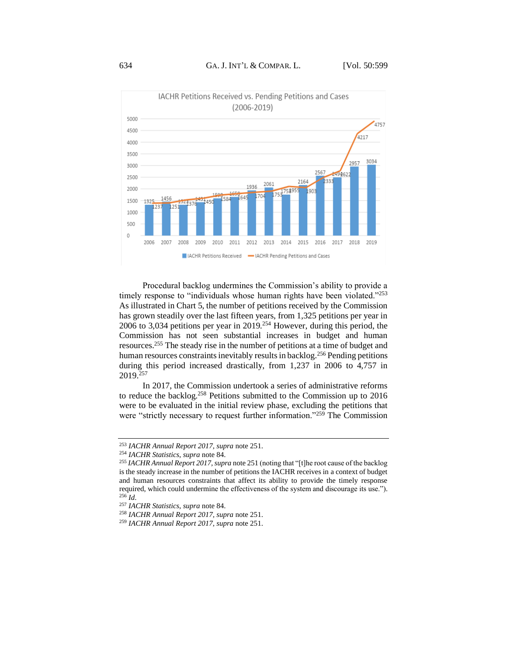

Procedural backlog undermines the Commission's ability to provide a timely response to "individuals whose human rights have been violated."<sup>253</sup> As illustrated in Chart 5, the number of petitions received by the Commission has grown steadily over the last fifteen years, from 1,325 petitions per year in 2006 to 3,034 petitions per year in 2019.<sup>254</sup> However, during this period, the Commission has not seen substantial increases in budget and human resources.<sup>255</sup> The steady rise in the number of petitions at a time of budget and human resources constraints inevitably results in backlog.<sup>256</sup> Pending petitions during this period increased drastically, from 1,237 in 2006 to 4,757 in 2019.<sup>257</sup>

In 2017, the Commission undertook a series of administrative reforms to reduce the backlog.<sup>258</sup> Petitions submitted to the Commission up to 2016 were to be evaluated in the initial review phase, excluding the petitions that were "strictly necessary to request further information."<sup>259</sup> The Commission

<sup>253</sup> *IACHR Annual Report 2017, supra* note 251.

<sup>254</sup> *IACHR Statistics*, *supra* note 84.

<sup>255</sup> *IACHR Annual Report 2017, supra* note 251 (noting that "[t]he root cause of the backlog is the steady increase in the number of petitions the IACHR receives in a context of budget and human resources constraints that affect its ability to provide the timely response required, which could undermine the effectiveness of the system and discourage its use."). <sup>256</sup> *Id*.

<sup>257</sup> *IACHR Statistics*, *supra* note 84.

<sup>258</sup> *IACHR Annual Report 2017, supra* note 251.

<sup>259</sup> *IACHR Annual Report 2017, supra* note 251.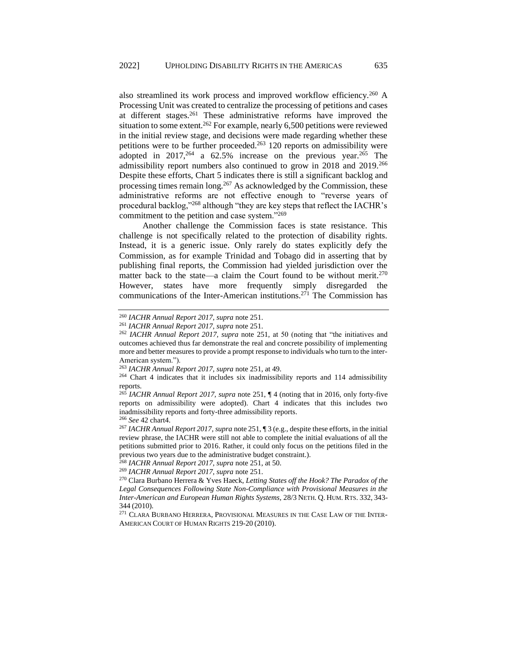also streamlined its work process and improved workflow efficiency.<sup>260</sup> A Processing Unit was created to centralize the processing of petitions and cases at different stages.<sup>261</sup> These administrative reforms have improved the situation to some extent.<sup>262</sup> For example, nearly 6,500 petitions were reviewed in the initial review stage, and decisions were made regarding whether these petitions were to be further proceeded.<sup>263</sup> 120 reports on admissibility were adopted in  $2017<sup>264</sup>$  a 62.5% increase on the previous year.<sup>265</sup> The admissibility report numbers also continued to grow in 2018 and 2019.<sup>266</sup> Despite these efforts, Chart 5 indicates there is still a significant backlog and processing times remain long.<sup>267</sup> As acknowledged by the Commission, these administrative reforms are not effective enough to "reverse years of procedural backlog,"<sup>268</sup> although "they are key steps that reflect the IACHR's commitment to the petition and case system."<sup>269</sup>

Another challenge the Commission faces is state resistance. This challenge is not specifically related to the protection of disability rights. Instead, it is a generic issue. Only rarely do states explicitly defy the Commission, as for example Trinidad and Tobago did in asserting that by publishing final reports, the Commission had yielded jurisdiction over the matter back to the state—a claim the Court found to be without merit.<sup>270</sup> However, states have more frequently simply disregarded the communications of the Inter-American institutions.<sup>271</sup> The Commission has

<sup>260</sup> *IACHR Annual Report 2017, supra* note 251.

<sup>261</sup> *IACHR Annual Report 2017, supra* note 251.

<sup>262</sup> *IACHR Annual Report 2017, supra* note 251*,* at 50 (noting that "the initiatives and outcomes achieved thus far demonstrate the real and concrete possibility of implementing more and better measures to provide a prompt response to individuals who turn to the inter-American system.").

<sup>263</sup> *IACHR Annual Report 2017, supra* note 251, at 49.

<sup>264</sup> Chart 4 indicates that it includes six inadmissibility reports and 114 admissibility reports.

<sup>265</sup> *IACHR Annual Report 2017, supra* note 251, ¶ 4 (noting that in 2016, only forty-five reports on admissibility were adopted). Chart 4 indicates that this includes two inadmissibility reports and forty-three admissibility reports.

<sup>266</sup> *See* 42 chart4.

<sup>267</sup> *IACHR Annual Report 2017, supra* note 251, ¶ 3 (e.g., despite these efforts, in the initial review phrase, the IACHR were still not able to complete the initial evaluations of all the petitions submitted prior to 2016. Rather, it could only focus on the petitions filed in the previous two years due to the administrative budget constraint.).

<sup>268</sup> *IACHR Annual Report 2017, supra* note 251, at 50.

<sup>269</sup> *IACHR Annual Report 2017, supra* note 251.

<sup>270</sup> Clara Burbano Herrera & Yves Haeck, *Letting States off the Hook? The Paradox of the Legal Consequences Following State Non-Compliance with Provisional Measures in the Inter-American and European Human Rights Systems*, 28/3 NETH. Q. HUM. RTS. 332, 343- 344 (2010).

<sup>271</sup> CLARA BURBANO HERRERA, PROVISIONAL MEASURES IN THE CASE LAW OF THE INTER-AMERICAN COURT OF HUMAN RIGHTS 219-20 (2010).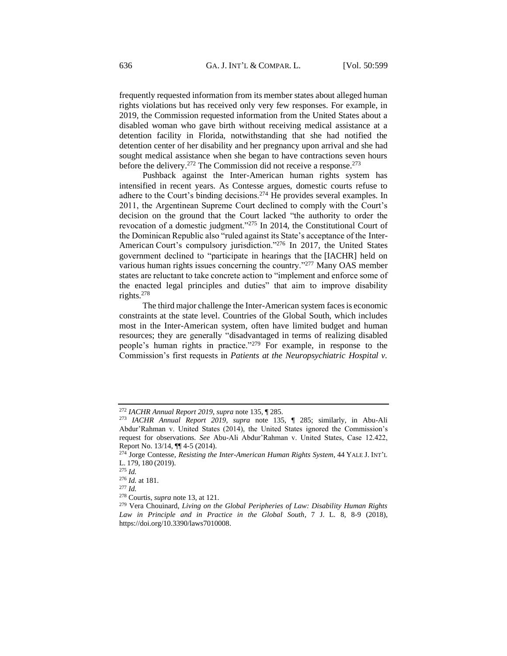frequently requested information from its member states about alleged human rights violations but has received only very few responses. For example, in 2019, the Commission requested information from the United States about a disabled woman who gave birth without receiving medical assistance at a detention facility in Florida, notwithstanding that she had notified the detention center of her disability and her pregnancy upon arrival and she had sought medical assistance when she began to have contractions seven hours before the delivery.<sup>272</sup> The Commission did not receive a response.<sup>273</sup>

Pushback against the Inter-American human rights system has intensified in recent years. As Contesse argues, domestic courts refuse to adhere to the Court's binding decisions.<sup>274</sup> He provides several examples. In 2011, the Argentinean Supreme Court declined to comply with the Court's decision on the ground that the Court lacked "the authority to order the revocation of a domestic judgment."<sup>275</sup> In 2014, the Constitutional Court of the Dominican Republic also "ruled against its State's acceptance of the Inter-American Court's compulsory jurisdiction."<sup>276</sup> In 2017, the United States government declined to "participate in hearings that the [IACHR] held on various human rights issues concerning the country."<sup>277</sup> Many OAS member states are reluctant to take concrete action to "implement and enforce some of the enacted legal principles and duties" that aim to improve disability rights.<sup>278</sup>

The third major challenge the Inter-American system faces is economic constraints at the state level. Countries of the Global South, which includes most in the Inter-American system, often have limited budget and human resources; they are generally "disadvantaged in terms of realizing disabled people's human rights in practice."<sup>279</sup> For example, in response to the Commission's first requests in *Patients at the Neuropsychiatric Hospital v.* 

<sup>272</sup> *IACHR Annual Report 2019*, *supra* note 135, ¶ 285.

<sup>273</sup> *IACHR Annual Report 2019*, *supra* note 135, ¶ 285; similarly, in Abu-Ali Abdur'Rahman v. United States (2014), the United States ignored the Commission's request for observations. *See* Abu-Ali Abdur'Rahman v. United States, Case 12.422, Report No. 13/14, ¶¶ 4-5 (2014).

<sup>274</sup> Jorge Contesse, *Resisting the Inter-American Human Rights System*, 44 YALE J. INT'L L. 179, 180 (2019).

<sup>275</sup> *Id.*

<sup>276</sup> *Id.* at 181.

<sup>277</sup> *Id.*

<sup>278</sup> Courtis, *supra* note 13, at 121.

<sup>279</sup> Vera Chouinard, *Living on the Global Peripheries of Law: Disability Human Rights Law in Principle and in Practice in the Global South*, 7 J. L. 8, 8-9 (2018), https://doi.org/10.3390/laws7010008.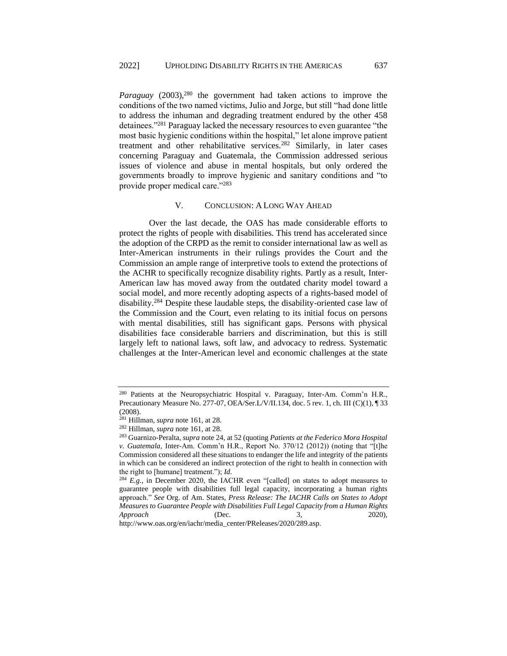*Paraguay* (2003),<sup>280</sup> the government had taken actions to improve the conditions of the two named victims, Julio and Jorge, but still "had done little to address the inhuman and degrading treatment endured by the other 458 detainees."<sup>281</sup> Paraguay lacked the necessary resources to even guarantee "the most basic hygienic conditions within the hospital," let alone improve patient treatment and other rehabilitative services.<sup>282</sup> Similarly, in later cases concerning Paraguay and Guatemala, the Commission addressed serious issues of violence and abuse in mental hospitals, but only ordered the governments broadly to improve hygienic and sanitary conditions and "to provide proper medical care."<sup>283</sup>

### V. CONCLUSION: A LONG WAY AHEAD

<span id="page-38-0"></span>Over the last decade, the OAS has made considerable efforts to protect the rights of people with disabilities. This trend has accelerated since the adoption of the CRPD as the remit to consider international law as well as Inter-American instruments in their rulings provides the Court and the Commission an ample range of interpretive tools to extend the protections of the ACHR to specifically recognize disability rights. Partly as a result, Inter-American law has moved away from the outdated charity model toward a social model, and more recently adopting aspects of a rights-based model of disability. <sup>284</sup> Despite these laudable steps, the disability-oriented case law of the Commission and the Court, even relating to its initial focus on persons with mental disabilities, still has significant gaps. Persons with physical disabilities face considerable barriers and discrimination, but this is still largely left to national laws, soft law, and advocacy to redress. Systematic challenges at the Inter-American level and economic challenges at the state

http://www.oas.org/en/iachr/media\_center/PReleases/2020/289.asp.

<sup>280</sup> Patients at the Neuropsychiatric Hospital v. Paraguay, Inter-Am. Comm'n H.R., Precautionary Measure No. 277-07, OEA/Ser.L/V/II.134, doc. 5 rev. 1, ch. III (C)(1), ¶ 33 (2008).

<sup>281</sup> Hillman, *supra* note 161, at 28.

<sup>282</sup> Hillman, *supra* note 161, at 28.

<sup>283</sup> Guarnizo-Peralta, *supra* note 24, at 52 (quoting *Patients at the Federico Mora Hospital v. Guatemala,* Inter-Am. Comm'n H.R., Report No. 370/12 (2012)) (noting that "[t]he Commission considered all these situations to endanger the life and integrity of the patients in which can be considered an indirect protection of the right to health in connection with the right to [humane] treatment."); *Id.*

<sup>&</sup>lt;sup>284</sup> *E.g.*, in December 2020, the IACHR even "[called] on states to adopt measures to guarantee people with disabilities full legal capacity, incorporating a human rights approach." *See* Org. of Am. States, *Press Release: The IACHR Calls on States to Adopt Measures to Guarantee People with Disabilities Full Legal Capacity from a Human Rights Approach* (Dec. 3, 2020),